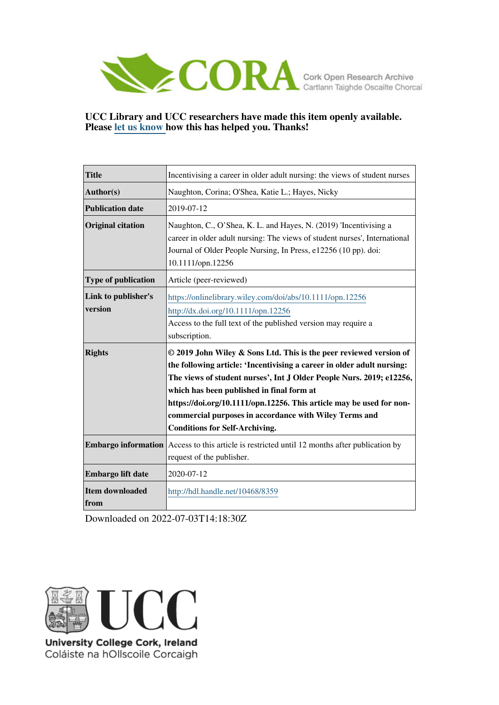

### **UCC Library and UCC researchers have made this item openly available. Please [let us know h](https://libguides.ucc.ie/openaccess/impact?suffix=8359&title=Incentivising a career in older adult nursing: the views of student nurses)ow this has helped you. Thanks!**

| <b>Title</b>                   | Incentivising a career in older adult nursing: the views of student nurses                                                                                                                                                                                                                                                                                                                                                                   |  |
|--------------------------------|----------------------------------------------------------------------------------------------------------------------------------------------------------------------------------------------------------------------------------------------------------------------------------------------------------------------------------------------------------------------------------------------------------------------------------------------|--|
| $\mathbf{Author(s)}$           | Naughton, Corina; O'Shea, Katie L.; Hayes, Nicky                                                                                                                                                                                                                                                                                                                                                                                             |  |
| <b>Publication date</b>        | 2019-07-12                                                                                                                                                                                                                                                                                                                                                                                                                                   |  |
| <b>Original citation</b>       | Naughton, C., O'Shea, K. L. and Hayes, N. (2019) The entivising a<br>career in older adult nursing: The views of student nurses', International<br>Journal of Older People Nursing, In Press, e12256 (10 pp). doi:<br>10.1111/opn.12256                                                                                                                                                                                                      |  |
| Type of publication            | Article (peer-reviewed)                                                                                                                                                                                                                                                                                                                                                                                                                      |  |
| Link to publisher's<br>version | https://onlinelibrary.wiley.com/doi/abs/10.1111/opn.12256<br>http://dx.doi.org/10.1111/opn.12256<br>Access to the full text of the published version may require a<br>subscription.                                                                                                                                                                                                                                                          |  |
| <b>Rights</b>                  | © 2019 John Wiley & Sons Ltd. This is the peer reviewed version of<br>the following article: 'Incentivising a career in older adult nursing:<br>The views of student nurses', Int J Older People Nurs. 2019; e12256,<br>which has been published in final form at<br>https://doi.org/10.1111/opn.12256. This article may be used for non-<br>commercial purposes in accordance with Wiley Terms and<br><b>Conditions for Self-Archiving.</b> |  |
| <b>Embargo information</b>     | Access to this article is restricted until 12 months after publication by<br>request of the publisher.                                                                                                                                                                                                                                                                                                                                       |  |
| <b>Embargo lift date</b>       | 2020-07-12                                                                                                                                                                                                                                                                                                                                                                                                                                   |  |
| Item downloaded<br>from        | http://hdl.handle.net/10468/8359                                                                                                                                                                                                                                                                                                                                                                                                             |  |

Downloaded on 2022-07-03T14:18:30Z



University College Cork, Ireland Coláiste na hOllscoile Corcaigh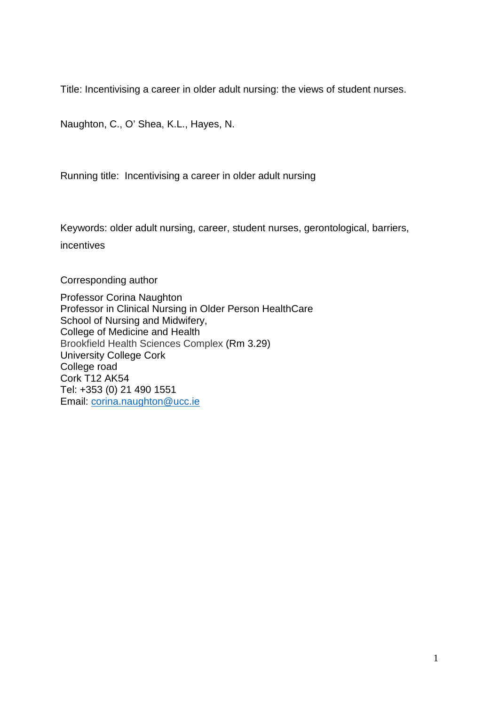Title: Incentivising a career in older adult nursing: the views of student nurses.

Naughton, C., O' Shea, K.L., Hayes, N.

Running title: Incentivising a career in older adult nursing

Keywords: older adult nursing, career, student nurses, gerontological, barriers, incentives

### Corresponding author

Professor Corina Naughton Professor in Clinical Nursing in Older Person HealthCare School of Nursing and Midwifery, College of Medicine and Health Brookfield Health Sciences Complex (Rm 3.29) University College Cork College road Cork T12 AK54 Tel: +353 (0) 21 490 1551 Email: [corina.naughton@ucc.ie](mailto:corina.naughton@ucc.ie)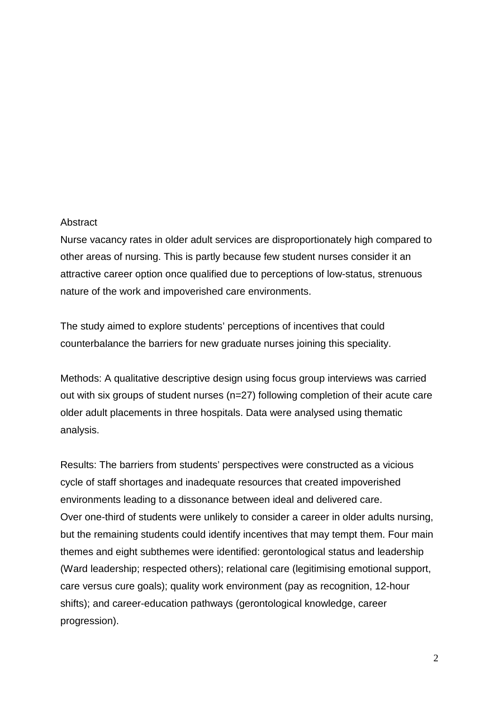### **Abstract**

Nurse vacancy rates in older adult services are disproportionately high compared to other areas of nursing. This is partly because few student nurses consider it an attractive career option once qualified due to perceptions of low-status, strenuous nature of the work and impoverished care environments.

The study aimed to explore students' perceptions of incentives that could counterbalance the barriers for new graduate nurses joining this speciality.

Methods: A qualitative descriptive design using focus group interviews was carried out with six groups of student nurses (n=27) following completion of their acute care older adult placements in three hospitals. Data were analysed using thematic analysis.

Results: The barriers from students' perspectives were constructed as a vicious cycle of staff shortages and inadequate resources that created impoverished environments leading to a dissonance between ideal and delivered care. Over one-third of students were unlikely to consider a career in older adults nursing, but the remaining students could identify incentives that may tempt them. Four main themes and eight subthemes were identified: gerontological status and leadership (Ward leadership; respected others); relational care (legitimising emotional support, care versus cure goals); quality work environment (pay as recognition, 12-hour shifts); and career-education pathways (gerontological knowledge, career progression).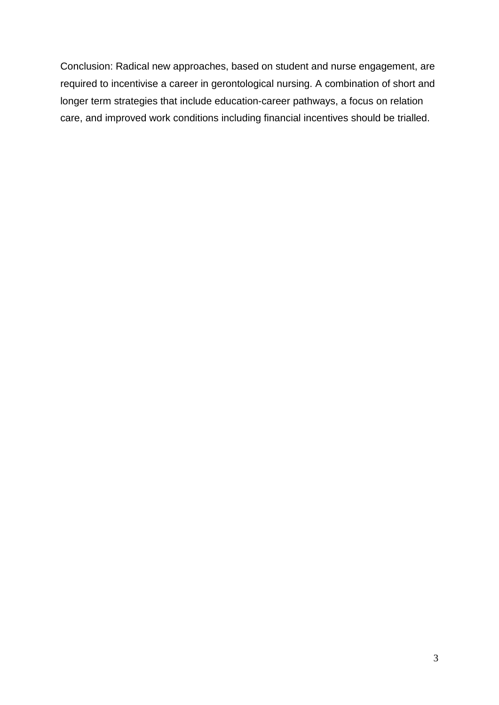Conclusion: Radical new approaches, based on student and nurse engagement, are required to incentivise a career in gerontological nursing. A combination of short and longer term strategies that include education-career pathways, a focus on relation care, and improved work conditions including financial incentives should be trialled.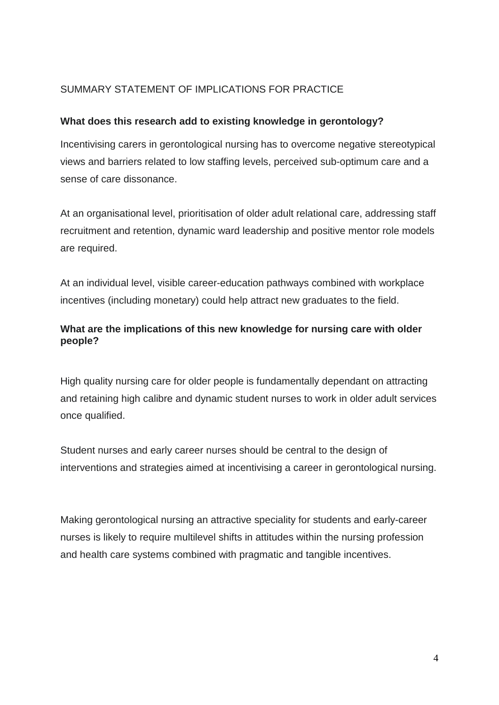# SUMMARY STATEMENT OF IMPLICATIONS FOR PRACTICE

## **What does this research add to existing knowledge in gerontology?**

Incentivising carers in gerontological nursing has to overcome negative stereotypical views and barriers related to low staffing levels, perceived sub-optimum care and a sense of care dissonance.

At an organisational level, prioritisation of older adult relational care, addressing staff recruitment and retention, dynamic ward leadership and positive mentor role models are required.

At an individual level, visible career-education pathways combined with workplace incentives (including monetary) could help attract new graduates to the field.

# **What are the implications of this new knowledge for nursing care with older people?**

High quality nursing care for older people is fundamentally dependant on attracting and retaining high calibre and dynamic student nurses to work in older adult services once qualified.

Student nurses and early career nurses should be central to the design of interventions and strategies aimed at incentivising a career in gerontological nursing.

Making gerontological nursing an attractive speciality for students and early-career nurses is likely to require multilevel shifts in attitudes within the nursing profession and health care systems combined with pragmatic and tangible incentives.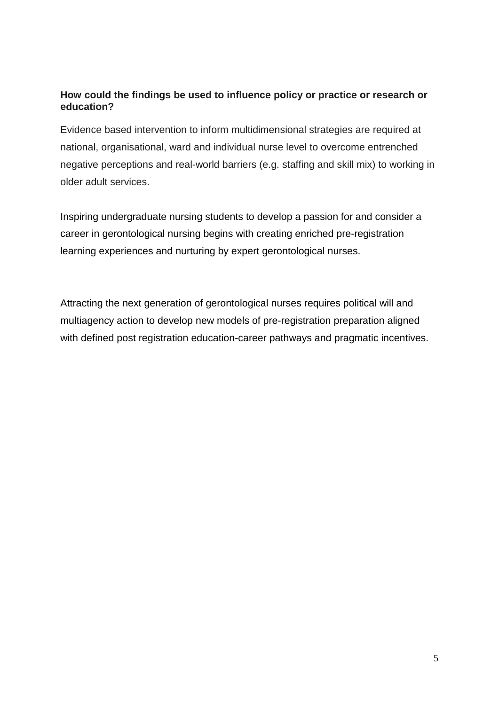# **How could the findings be used to influence policy or practice or research or education?**

Evidence based intervention to inform multidimensional strategies are required at national, organisational, ward and individual nurse level to overcome entrenched negative perceptions and real-world barriers (e.g. staffing and skill mix) to working in older adult services.

Inspiring undergraduate nursing students to develop a passion for and consider a career in gerontological nursing begins with creating enriched pre-registration learning experiences and nurturing by expert gerontological nurses.

Attracting the next generation of gerontological nurses requires political will and multiagency action to develop new models of pre-registration preparation aligned with defined post registration education-career pathways and pragmatic incentives.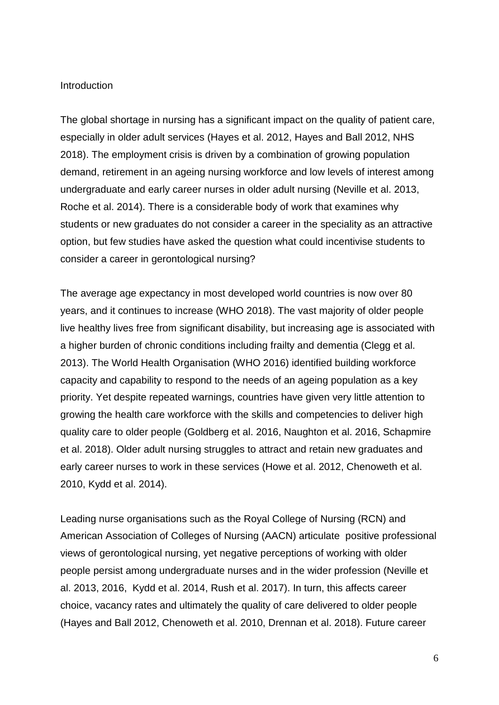#### Introduction

The global shortage in nursing has a significant impact on the quality of patient care, especially in older adult services (Hayes et al. 2012, Hayes and Ball 2012, NHS 2018). The employment crisis is driven by a combination of growing population demand, retirement in an ageing nursing workforce and low levels of interest among undergraduate and early career nurses in older adult nursing (Neville et al. 2013, Roche et al. 2014). There is a considerable body of work that examines why students or new graduates do not consider a career in the speciality as an attractive option, but few studies have asked the question what could incentivise students to consider a career in gerontological nursing?

The average age expectancy in most developed world countries is now over 80 years, and it continues to increase (WHO 2018). The vast majority of older people live healthy lives free from significant disability, but increasing age is associated with a higher burden of chronic conditions including frailty and dementia (Clegg et al. 2013). The World Health Organisation (WHO 2016) identified building workforce capacity and capability to respond to the needs of an ageing population as a key priority. Yet despite repeated warnings, countries have given very little attention to growing the health care workforce with the skills and competencies to deliver high quality care to older people (Goldberg et al. 2016, Naughton et al. 2016, Schapmire et al. 2018). Older adult nursing struggles to attract and retain new graduates and early career nurses to work in these services (Howe et al. 2012, Chenoweth et al. 2010, Kydd et al. 2014).

Leading nurse organisations such as the Royal College of Nursing (RCN) and American Association of Colleges of Nursing (AACN) articulate positive professional views of gerontological nursing, yet negative perceptions of working with older people persist among undergraduate nurses and in the wider profession (Neville et al. 2013, 2016, Kydd et al. 2014, Rush et al. 2017). In turn, this affects career choice, vacancy rates and ultimately the quality of care delivered to older people (Hayes and Ball 2012, Chenoweth et al. 2010, Drennan et al. 2018). Future career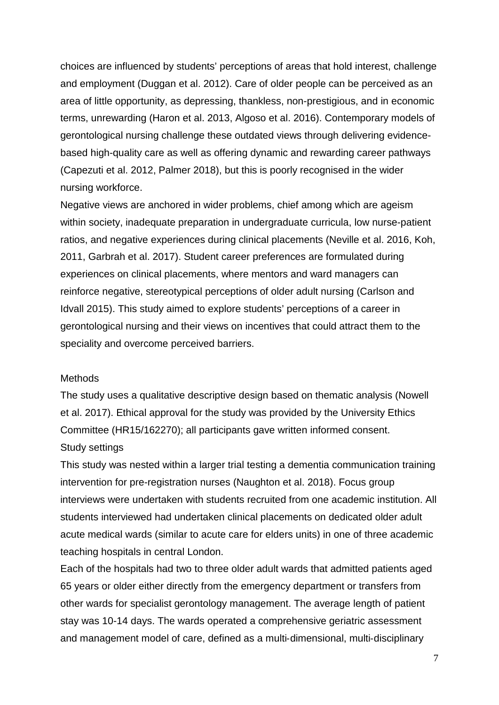choices are influenced by students' perceptions of areas that hold interest, challenge and employment (Duggan et al. 2012). Care of older people can be perceived as an area of little opportunity, as depressing, thankless, non-prestigious, and in economic terms, unrewarding (Haron et al. 2013, Algoso et al. 2016). Contemporary models of gerontological nursing challenge these outdated views through delivering evidencebased high-quality care as well as offering dynamic and rewarding career pathways (Capezuti et al. 2012, Palmer 2018), but this is poorly recognised in the wider nursing workforce.

Negative views are anchored in wider problems, chief among which are ageism within society, inadequate preparation in undergraduate curricula, low nurse-patient ratios, and negative experiences during clinical placements (Neville et al. 2016, Koh, 2011, Garbrah et al. 2017). Student career preferences are formulated during experiences on clinical placements, where mentors and ward managers can reinforce negative, stereotypical perceptions of older adult nursing (Carlson and Idvall 2015). This study aimed to explore students' perceptions of a career in gerontological nursing and their views on incentives that could attract them to the speciality and overcome perceived barriers.

### **Methods**

The study uses a qualitative descriptive design based on thematic analysis (Nowell et al. 2017). Ethical approval for the study was provided by the University Ethics Committee (HR15/162270); all participants gave written informed consent. Study settings

This study was nested within a larger trial testing a dementia communication training intervention for pre-registration nurses (Naughton et al. 2018). Focus group interviews were undertaken with students recruited from one academic institution. All students interviewed had undertaken clinical placements on dedicated older adult acute medical wards (similar to acute care for elders units) in one of three academic teaching hospitals in central London.

Each of the hospitals had two to three older adult wards that admitted patients aged 65 years or older either directly from the emergency department or transfers from other wards for specialist gerontology management. The average length of patient stay was 10-14 days. The wards operated a comprehensive geriatric assessment and management model of care, defined as a multi‐dimensional, multi‐disciplinary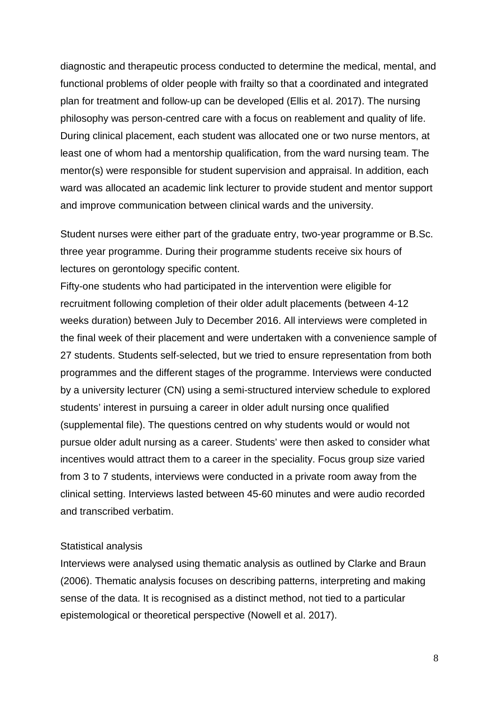diagnostic and therapeutic process conducted to determine the medical, mental, and functional problems of older people with frailty so that a coordinated and integrated plan for treatment and follow‐up can be developed (Ellis et al. 2017). The nursing philosophy was person-centred care with a focus on reablement and quality of life. During clinical placement, each student was allocated one or two nurse mentors, at least one of whom had a mentorship qualification, from the ward nursing team. The mentor(s) were responsible for student supervision and appraisal. In addition, each ward was allocated an academic link lecturer to provide student and mentor support and improve communication between clinical wards and the university.

Student nurses were either part of the graduate entry, two-year programme or B.Sc. three year programme. During their programme students receive six hours of lectures on gerontology specific content.

Fifty-one students who had participated in the intervention were eligible for recruitment following completion of their older adult placements (between 4-12 weeks duration) between July to December 2016. All interviews were completed in the final week of their placement and were undertaken with a convenience sample of 27 students. Students self-selected, but we tried to ensure representation from both programmes and the different stages of the programme. Interviews were conducted by a university lecturer (CN) using a semi-structured interview schedule to explored students' interest in pursuing a career in older adult nursing once qualified (supplemental file). The questions centred on why students would or would not pursue older adult nursing as a career. Students' were then asked to consider what incentives would attract them to a career in the speciality. Focus group size varied from 3 to 7 students, interviews were conducted in a private room away from the clinical setting. Interviews lasted between 45-60 minutes and were audio recorded and transcribed verbatim.

#### Statistical analysis

Interviews were analysed using thematic analysis as outlined by Clarke and Braun (2006). Thematic analysis focuses on describing patterns, interpreting and making sense of the data. It is recognised as a distinct method, not tied to a particular epistemological or theoretical perspective (Nowell et al. 2017).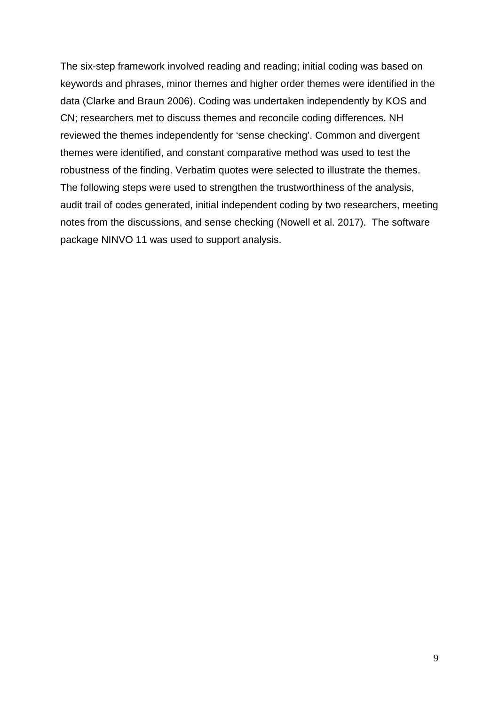The six-step framework involved reading and reading; initial coding was based on keywords and phrases, minor themes and higher order themes were identified in the data (Clarke and Braun 2006). Coding was undertaken independently by KOS and CN; researchers met to discuss themes and reconcile coding differences. NH reviewed the themes independently for 'sense checking'. Common and divergent themes were identified, and constant comparative method was used to test the robustness of the finding. Verbatim quotes were selected to illustrate the themes. The following steps were used to strengthen the trustworthiness of the analysis, audit trail of codes generated, initial independent coding by two researchers, meeting notes from the discussions, and sense checking (Nowell et al. 2017). The software package NINVO 11 was used to support analysis.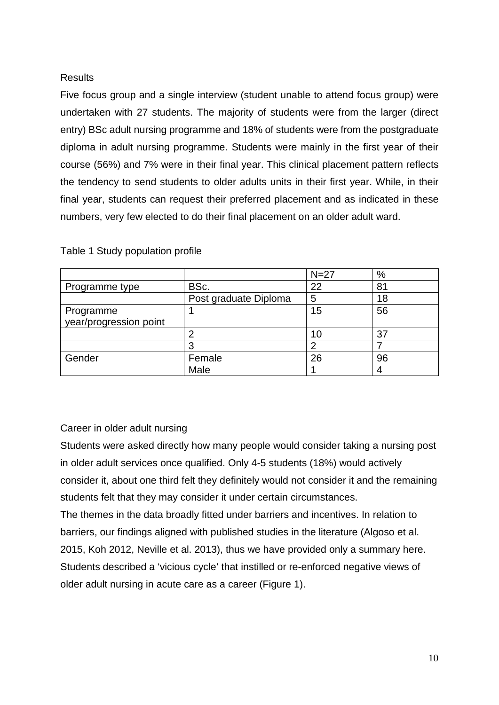## Results

Five focus group and a single interview (student unable to attend focus group) were undertaken with 27 students. The majority of students were from the larger (direct entry) BSc adult nursing programme and 18% of students were from the postgraduate diploma in adult nursing programme. Students were mainly in the first year of their course (56%) and 7% were in their final year. This clinical placement pattern reflects the tendency to send students to older adults units in their first year. While, in their final year, students can request their preferred placement and as indicated in these numbers, very few elected to do their final placement on an older adult ward.

|                        |                       | $N = 27$ | %  |
|------------------------|-----------------------|----------|----|
| Programme type         | BSc.                  | 22       | 81 |
|                        | Post graduate Diploma | 5        | 18 |
| Programme              |                       | 15       | 56 |
| year/progression point |                       |          |    |
|                        |                       | 10       | 37 |
|                        |                       |          |    |
| Gender                 | Female                | 26       | 96 |
|                        | Male                  |          |    |

Table 1 Study population profile

## Career in older adult nursing

Students were asked directly how many people would consider taking a nursing post in older adult services once qualified. Only 4-5 students (18%) would actively consider it, about one third felt they definitely would not consider it and the remaining students felt that they may consider it under certain circumstances.

The themes in the data broadly fitted under barriers and incentives. In relation to barriers, our findings aligned with published studies in the literature (Algoso et al. 2015, Koh 2012, Neville et al. 2013), thus we have provided only a summary here. Students described a 'vicious cycle' that instilled or re-enforced negative views of older adult nursing in acute care as a career (Figure 1).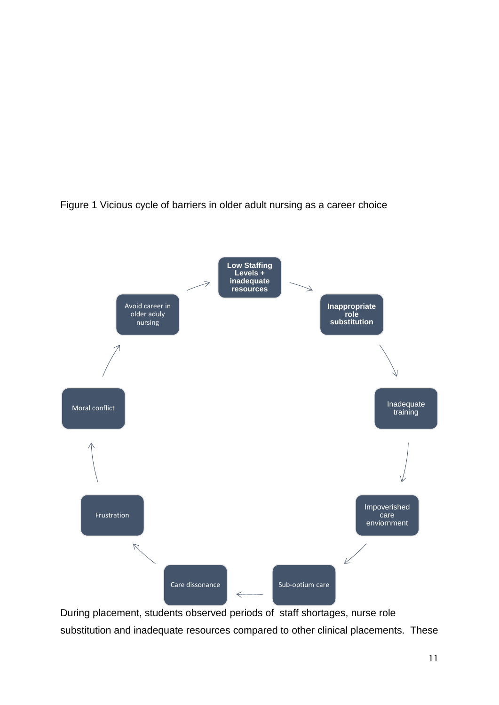



During placement, students observed periods of staff shortages, nurse role substitution and inadequate resources compared to other clinical placements. These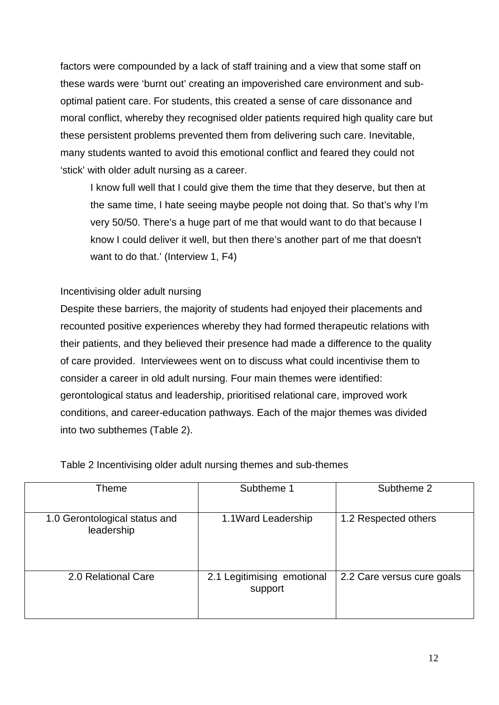factors were compounded by a lack of staff training and a view that some staff on these wards were 'burnt out' creating an impoverished care environment and suboptimal patient care. For students, this created a sense of care dissonance and moral conflict, whereby they recognised older patients required high quality care but these persistent problems prevented them from delivering such care. Inevitable, many students wanted to avoid this emotional conflict and feared they could not 'stick' with older adult nursing as a career.

I know full well that I could give them the time that they deserve, but then at the same time, I hate seeing maybe people not doing that. So that's why I'm very 50/50. There's a huge part of me that would want to do that because I know I could deliver it well, but then there's another part of me that doesn't want to do that.' (Interview 1, F4)

## Incentivising older adult nursing

Despite these barriers, the majority of students had enjoyed their placements and recounted positive experiences whereby they had formed therapeutic relations with their patients, and they believed their presence had made a difference to the quality of care provided. Interviewees went on to discuss what could incentivise them to consider a career in old adult nursing. Four main themes were identified: gerontological status and leadership, prioritised relational care, improved work conditions, and career-education pathways. Each of the major themes was divided into two subthemes (Table 2).

| Theme                                       | Subtheme 1                            | Subtheme 2                 |
|---------------------------------------------|---------------------------------------|----------------------------|
| 1.0 Gerontological status and<br>leadership | 1.1Ward Leadership                    | 1.2 Respected others       |
| 2.0 Relational Care                         | 2.1 Legitimising emotional<br>support | 2.2 Care versus cure goals |

Table 2 Incentivising older adult nursing themes and sub-themes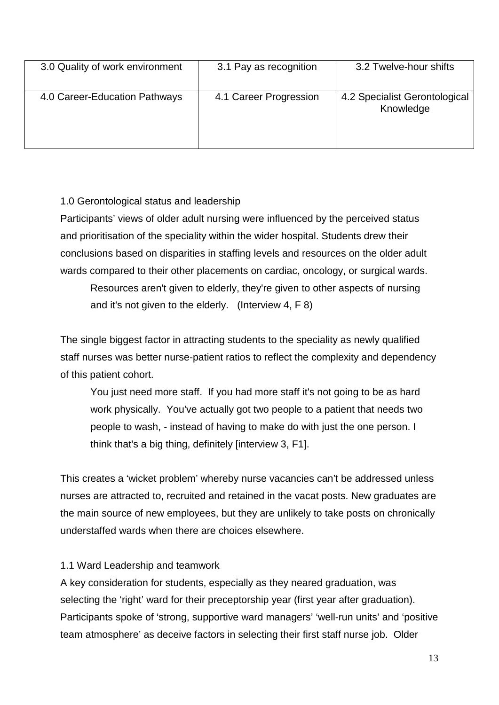| 3.0 Quality of work environment | 3.1 Pay as recognition | 3.2 Twelve-hour shifts                     |
|---------------------------------|------------------------|--------------------------------------------|
| 4.0 Career-Education Pathways   | 4.1 Career Progression | 4.2 Specialist Gerontological<br>Knowledge |

# 1.0 Gerontological status and leadership

Participants' views of older adult nursing were influenced by the perceived status and prioritisation of the speciality within the wider hospital. Students drew their conclusions based on disparities in staffing levels and resources on the older adult wards compared to their other placements on cardiac, oncology, or surgical wards.

Resources aren't given to elderly, they're given to other aspects of nursing and it's not given to the elderly. (Interview 4, F 8)

The single biggest factor in attracting students to the speciality as newly qualified staff nurses was better nurse-patient ratios to reflect the complexity and dependency of this patient cohort.

You just need more staff. If you had more staff it's not going to be as hard work physically. You've actually got two people to a patient that needs two people to wash, - instead of having to make do with just the one person. I think that's a big thing, definitely [interview 3, F1].

This creates a 'wicket problem' whereby nurse vacancies can't be addressed unless nurses are attracted to, recruited and retained in the vacat posts. New graduates are the main source of new employees, but they are unlikely to take posts on chronically understaffed wards when there are choices elsewhere.

## 1.1 Ward Leadership and teamwork

A key consideration for students, especially as they neared graduation, was selecting the 'right' ward for their preceptorship year (first year after graduation). Participants spoke of 'strong, supportive ward managers' 'well-run units' and 'positive team atmosphere' as deceive factors in selecting their first staff nurse job. Older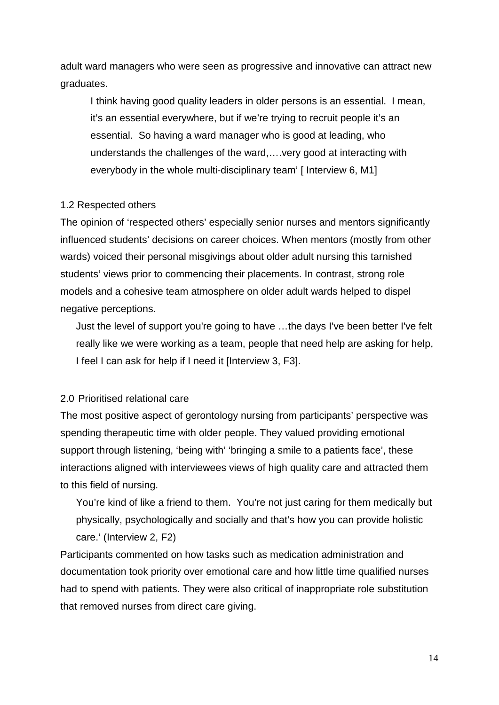adult ward managers who were seen as progressive and innovative can attract new graduates.

I think having good quality leaders in older persons is an essential. I mean, it's an essential everywhere, but if we're trying to recruit people it's an essential. So having a ward manager who is good at leading, who understands the challenges of the ward,….very good at interacting with everybody in the whole multi-disciplinary team' [ Interview 6, M1]

### 1.2 Respected others

The opinion of 'respected others' especially senior nurses and mentors significantly influenced students' decisions on career choices. When mentors (mostly from other wards) voiced their personal misgivings about older adult nursing this tarnished students' views prior to commencing their placements. In contrast, strong role models and a cohesive team atmosphere on older adult wards helped to dispel negative perceptions.

Just the level of support you're going to have …the days I've been better I've felt really like we were working as a team, people that need help are asking for help, I feel I can ask for help if I need it [Interview 3, F3].

### 2.0 Prioritised relational care

The most positive aspect of gerontology nursing from participants' perspective was spending therapeutic time with older people. They valued providing emotional support through listening, 'being with' 'bringing a smile to a patients face', these interactions aligned with interviewees views of high quality care and attracted them to this field of nursing.

You're kind of like a friend to them. You're not just caring for them medically but physically, psychologically and socially and that's how you can provide holistic care.' (Interview 2, F2)

Participants commented on how tasks such as medication administration and documentation took priority over emotional care and how little time qualified nurses had to spend with patients. They were also critical of inappropriate role substitution that removed nurses from direct care giving.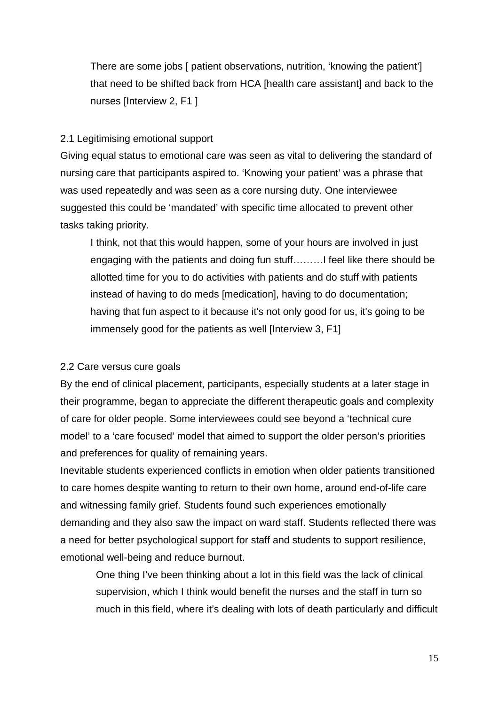There are some jobs [ patient observations, nutrition, 'knowing the patient'] that need to be shifted back from HCA [health care assistant] and back to the nurses [Interview 2, F1 ]

### 2.1 Legitimising emotional support

Giving equal status to emotional care was seen as vital to delivering the standard of nursing care that participants aspired to. 'Knowing your patient' was a phrase that was used repeatedly and was seen as a core nursing duty. One interviewee suggested this could be 'mandated' with specific time allocated to prevent other tasks taking priority.

I think, not that this would happen, some of your hours are involved in just engaging with the patients and doing fun stuff………I feel like there should be allotted time for you to do activities with patients and do stuff with patients instead of having to do meds [medication], having to do documentation; having that fun aspect to it because it's not only good for us, it's going to be immensely good for the patients as well [Interview 3, F1]

### 2.2 Care versus cure goals

By the end of clinical placement, participants, especially students at a later stage in their programme, began to appreciate the different therapeutic goals and complexity of care for older people. Some interviewees could see beyond a 'technical cure model' to a 'care focused' model that aimed to support the older person's priorities and preferences for quality of remaining years.

Inevitable students experienced conflicts in emotion when older patients transitioned to care homes despite wanting to return to their own home, around end-of-life care and witnessing family grief. Students found such experiences emotionally demanding and they also saw the impact on ward staff. Students reflected there was a need for better psychological support for staff and students to support resilience, emotional well-being and reduce burnout.

One thing I've been thinking about a lot in this field was the lack of clinical supervision, which I think would benefit the nurses and the staff in turn so much in this field, where it's dealing with lots of death particularly and difficult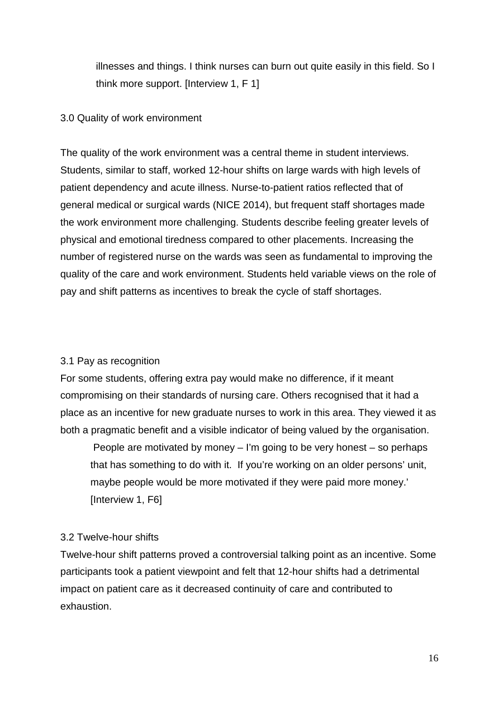illnesses and things. I think nurses can burn out quite easily in this field. So I think more support. [Interview 1, F 1]

## 3.0 Quality of work environment

The quality of the work environment was a central theme in student interviews. Students, similar to staff, worked 12-hour shifts on large wards with high levels of patient dependency and acute illness. Nurse-to-patient ratios reflected that of general medical or surgical wards (NICE 2014), but frequent staff shortages made the work environment more challenging. Students describe feeling greater levels of physical and emotional tiredness compared to other placements. Increasing the number of registered nurse on the wards was seen as fundamental to improving the quality of the care and work environment. Students held variable views on the role of pay and shift patterns as incentives to break the cycle of staff shortages.

## 3.1 Pay as recognition

For some students, offering extra pay would make no difference, if it meant compromising on their standards of nursing care. Others recognised that it had a place as an incentive for new graduate nurses to work in this area. They viewed it as both a pragmatic benefit and a visible indicator of being valued by the organisation.

People are motivated by money – I'm going to be very honest – so perhaps that has something to do with it. If you're working on an older persons' unit, maybe people would be more motivated if they were paid more money.' [Interview 1, F6]

## 3.2 Twelve-hour shifts

Twelve-hour shift patterns proved a controversial talking point as an incentive. Some participants took a patient viewpoint and felt that 12-hour shifts had a detrimental impact on patient care as it decreased continuity of care and contributed to exhaustion.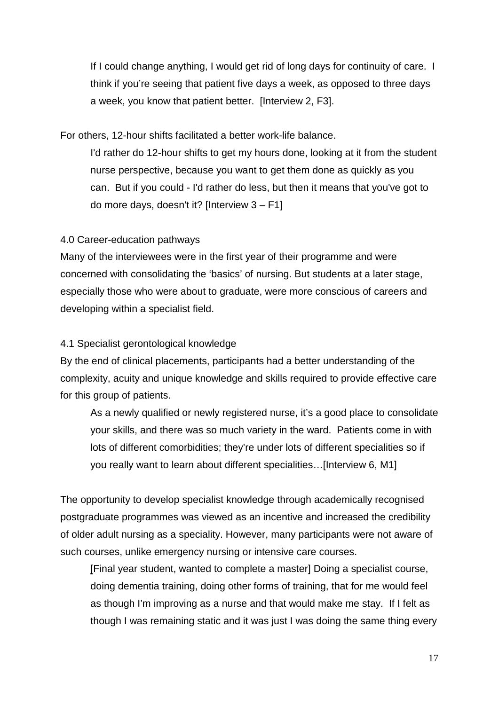If I could change anything, I would get rid of long days for continuity of care. I think if you're seeing that patient five days a week, as opposed to three days a week, you know that patient better. [Interview 2, F3].

For others, 12-hour shifts facilitated a better work-life balance.

I'd rather do 12-hour shifts to get my hours done, looking at it from the student nurse perspective, because you want to get them done as quickly as you can. But if you could - I'd rather do less, but then it means that you've got to do more days, doesn't it? [Interview 3 – F1]

## 4.0 Career-education pathways

Many of the interviewees were in the first year of their programme and were concerned with consolidating the 'basics' of nursing. But students at a later stage, especially those who were about to graduate, were more conscious of careers and developing within a specialist field.

# 4.1 Specialist gerontological knowledge

By the end of clinical placements, participants had a better understanding of the complexity, acuity and unique knowledge and skills required to provide effective care for this group of patients.

As a newly qualified or newly registered nurse, it's a good place to consolidate your skills, and there was so much variety in the ward. Patients come in with lots of different comorbidities; they're under lots of different specialities so if you really want to learn about different specialities…[Interview 6, M1]

The opportunity to develop specialist knowledge through academically recognised postgraduate programmes was viewed as an incentive and increased the credibility of older adult nursing as a speciality. However, many participants were not aware of such courses, unlike emergency nursing or intensive care courses.

[Final year student, wanted to complete a master] Doing a specialist course, doing dementia training, doing other forms of training, that for me would feel as though I'm improving as a nurse and that would make me stay. If I felt as though I was remaining static and it was just I was doing the same thing every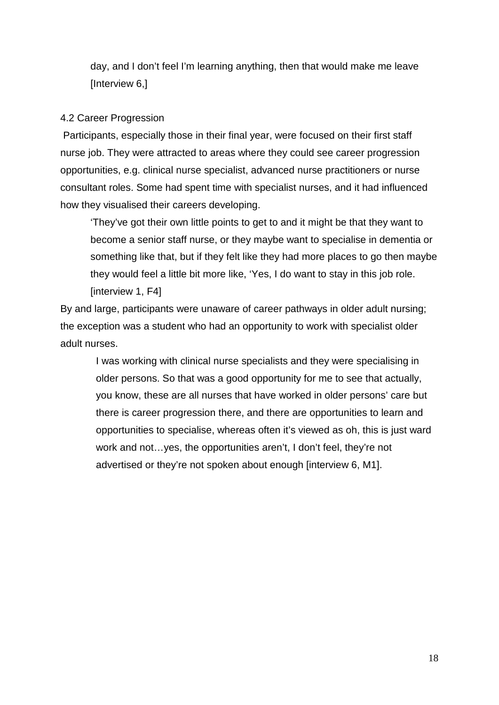day, and I don't feel I'm learning anything, then that would make me leave [Interview 6,]

### 4.2 Career Progression

Participants, especially those in their final year, were focused on their first staff nurse job. They were attracted to areas where they could see career progression opportunities, e.g. clinical nurse specialist, advanced nurse practitioners or nurse consultant roles. Some had spent time with specialist nurses, and it had influenced how they visualised their careers developing.

'They've got their own little points to get to and it might be that they want to become a senior staff nurse, or they maybe want to specialise in dementia or something like that, but if they felt like they had more places to go then maybe they would feel a little bit more like, 'Yes, I do want to stay in this job role. [interview 1, F4]

By and large, participants were unaware of career pathways in older adult nursing; the exception was a student who had an opportunity to work with specialist older adult nurses.

I was working with clinical nurse specialists and they were specialising in older persons. So that was a good opportunity for me to see that actually, you know, these are all nurses that have worked in older persons' care but there is career progression there, and there are opportunities to learn and opportunities to specialise, whereas often it's viewed as oh, this is just ward work and not…yes, the opportunities aren't, I don't feel, they're not advertised or they're not spoken about enough [interview 6, M1].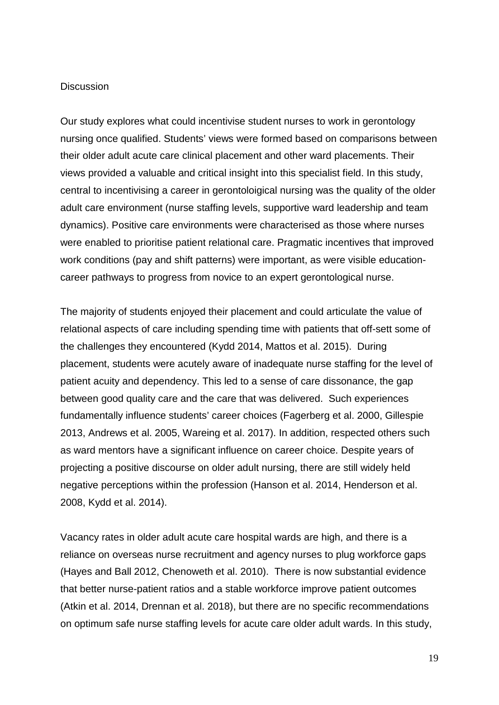### **Discussion**

Our study explores what could incentivise student nurses to work in gerontology nursing once qualified. Students' views were formed based on comparisons between their older adult acute care clinical placement and other ward placements. Their views provided a valuable and critical insight into this specialist field. In this study, central to incentivising a career in gerontoloigical nursing was the quality of the older adult care environment (nurse staffing levels, supportive ward leadership and team dynamics). Positive care environments were characterised as those where nurses were enabled to prioritise patient relational care. Pragmatic incentives that improved work conditions (pay and shift patterns) were important, as were visible educationcareer pathways to progress from novice to an expert gerontological nurse.

The majority of students enjoyed their placement and could articulate the value of relational aspects of care including spending time with patients that off-sett some of the challenges they encountered (Kydd 2014, Mattos et al. 2015). During placement, students were acutely aware of inadequate nurse staffing for the level of patient acuity and dependency. This led to a sense of care dissonance, the gap between good quality care and the care that was delivered. Such experiences fundamentally influence students' career choices (Fagerberg et al. 2000, Gillespie 2013, Andrews et al. 2005, Wareing et al. 2017). In addition, respected others such as ward mentors have a significant influence on career choice. Despite years of projecting a positive discourse on older adult nursing, there are still widely held negative perceptions within the profession (Hanson et al. 2014, Henderson et al. 2008, Kydd et al. 2014).

Vacancy rates in older adult acute care hospital wards are high, and there is a reliance on overseas nurse recruitment and agency nurses to plug workforce gaps [\(Hayes](https://www.ncbi.nlm.nih.gov/pubmed/?term=Hayes%20N%5BAuthor%5D&cauthor=true&cauthor_uid=22708153) and [Ball 2](https://www.ncbi.nlm.nih.gov/pubmed/?term=Ball%20J%5BAuthor%5D&cauthor=true&cauthor_uid=22708153)012, Chenoweth et al. 2010). There is now substantial evidence that better nurse-patient ratios and a stable workforce improve patient outcomes (Atkin et al. 2014, Drennan et al. 2018), but there are no specific recommendations on optimum safe nurse staffing levels for acute care older adult wards. In this study,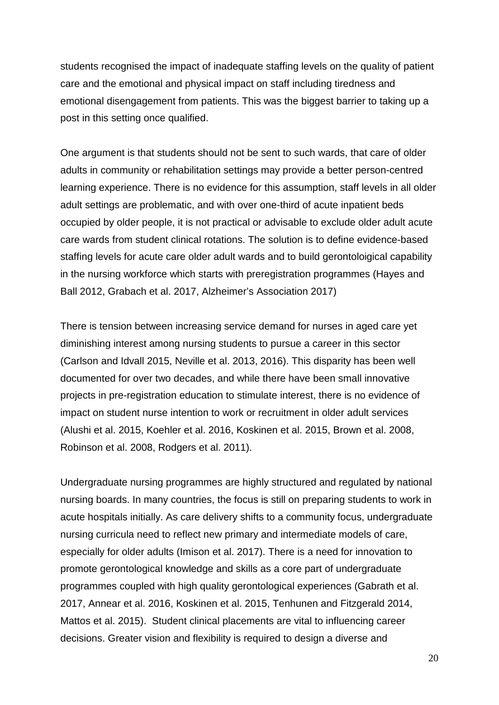students recognised the impact of inadequate staffing levels on the quality of patient care and the emotional and physical impact on staff including tiredness and emotional disengagement from patients. This was the biggest barrier to taking up a post in this setting once qualified.

One argument is that students should not be sent to such wards, that care of older adults in community or rehabilitation settings may provide a better person-centred learning experience. There is no evidence for this assumption, staff levels in all older adult settings are problematic, and with over one-third of acute inpatient beds occupied by older people, it is not practical or advisable to exclude older adult acute care wards from student clinical rotations. The solution is to define evidence-based staffing levels for acute care older adult wards and to build gerontoloigical capability in the nursing workforce which starts with preregistration programmes (Hayes and Ball 2012, Grabach et al. 2017, Alzheimer's Association 2017)

There is tension between increasing service demand for nurses in aged care yet diminishing interest among nursing students to pursue a career in this sector (Carlson and Idvall 2015, Neville et al. 2013, 2016). This disparity has been well documented for over two decades, and while there have been small innovative projects in pre-registration education to stimulate interest, there is no evidence of impact on student nurse intention to work or recruitment in older adult services (Alushi et al. 2015, Koehler et al. 2016, Koskinen et al. 2015, Brown et al. 2008, Robinson et al. 2008, Rodgers et al. 2011).

Undergraduate nursing programmes are highly structured and regulated by national nursing boards. In many countries, the focus is still on preparing students to work in acute hospitals initially. As care delivery shifts to a community focus, undergraduate nursing curricula need to reflect new primary and intermediate models of care, especially for older adults (Imison et al. 2017). There is a need for innovation to promote gerontological knowledge and skills as a core part of undergraduate programmes coupled with high quality gerontological experiences (Gabrath et al. 2017, Annear et al. 2016, Koskinen et al. 2015, [Tenhunen a](https://www.ncbi.nlm.nih.gov/pubmed/?term=Tenhunen%20ML%5BAuthor%5D&cauthor=true&cauthor_uid=25081329)nd [Fitzgerald 2](https://www.ncbi.nlm.nih.gov/pubmed/?term=Fitzgerald%20A%5BAuthor%5D&cauthor=true&cauthor_uid=25081329)014, Mattos et al. 2015). Student clinical placements are vital to influencing career decisions. Greater vision and flexibility is required to design a diverse and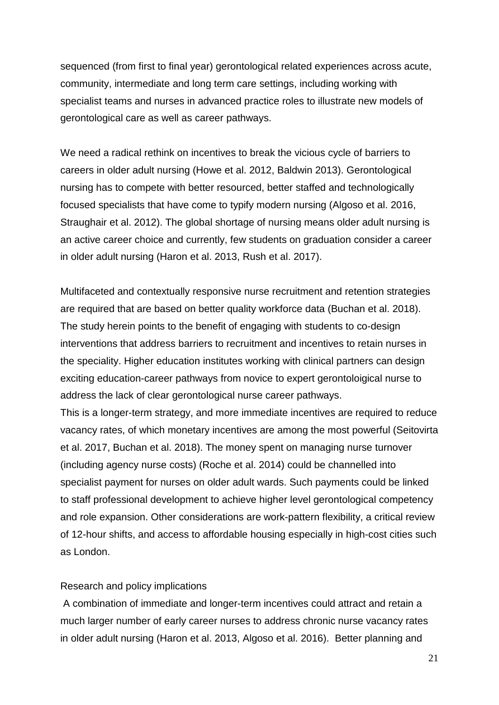sequenced (from first to final year) gerontological related experiences across acute, community, intermediate and long term care settings, including working with specialist teams and nurses in advanced practice roles to illustrate new models of gerontological care as well as career pathways.

We need a radical rethink on incentives to break the vicious cycle of barriers to careers in older adult nursing (Howe et al. 2012, Baldwin 2013). Gerontological nursing has to compete with better resourced, better staffed and technologically focused specialists that have come to typify modern nursing (Algoso et al. 2016, Straughair et al. 2012). The global shortage of nursing means older adult nursing is an active career choice and currently, few students on graduation consider a career in older adult nursing (Haron et al. 2013, Rush et al. 2017).

Multifaceted and contextually responsive nurse recruitment and retention strategies are required that are based on better quality workforce data (Buchan et al. 2018). The study herein points to the benefit of engaging with students to co-design interventions that address barriers to recruitment and incentives to retain nurses in the speciality. Higher education institutes working with clinical partners can design exciting education-career pathways from novice to expert gerontoloigical nurse to address the lack of clear gerontological nurse career pathways.

This is a longer-term strategy, and more immediate incentives are required to reduce vacancy rates, of which monetary incentives are among the most powerful (Seitovirta et al. 2017, Buchan et al. 2018). The money spent on managing nurse turnover (including agency nurse costs) (Roche et al. 2014) could be channelled into specialist payment for nurses on older adult wards. Such payments could be linked to staff professional development to achieve higher level gerontological competency and role expansion. Other considerations are work-pattern flexibility, a critical review of 12-hour shifts, and access to affordable housing especially in high-cost cities such as London.

### Research and policy implications

A combination of immediate and longer-term incentives could attract and retain a much larger number of early career nurses to address chronic nurse vacancy rates in older adult nursing (Haron et al. 2013, Algoso et al. 2016). Better planning and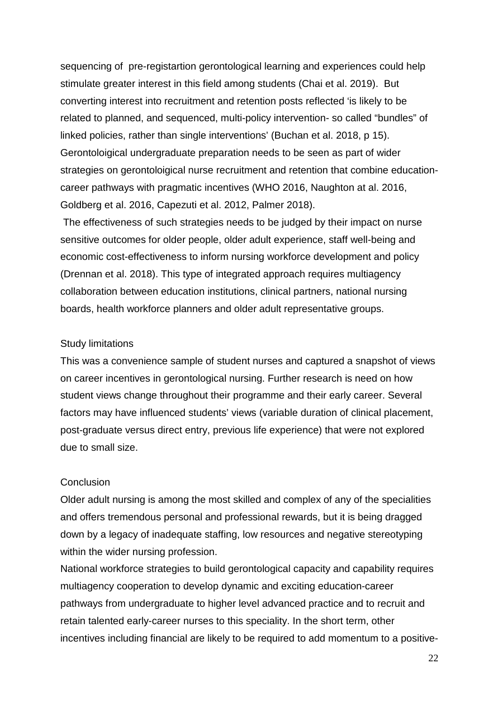sequencing of pre-registartion gerontological learning and experiences could help stimulate greater interest in this field among students (Chai et al. 2019). But converting interest into recruitment and retention posts reflected 'is likely to be related to planned, and sequenced, multi-policy intervention- so called "bundles" of linked policies, rather than single interventions' (Buchan et al. 2018, p 15). Gerontoloigical undergraduate preparation needs to be seen as part of wider strategies on gerontoloigical nurse recruitment and retention that combine educationcareer pathways with pragmatic incentives (WHO 2016, Naughton at al. 2016, Goldberg et al. 2016, Capezuti et al. 2012, Palmer 2018).

The effectiveness of such strategies needs to be judged by their impact on nurse sensitive outcomes for older people, older adult experience, staff well-being and economic cost-effectiveness to inform nursing workforce development and policy (Drennan et al. 2018). This type of integrated approach requires multiagency collaboration between education institutions, clinical partners, national nursing boards, health workforce planners and older adult representative groups.

#### Study limitations

This was a convenience sample of student nurses and captured a snapshot of views on career incentives in gerontological nursing. Further research is need on how student views change throughout their programme and their early career. Several factors may have influenced students' views (variable duration of clinical placement, post-graduate versus direct entry, previous life experience) that were not explored due to small size.

### **Conclusion**

Older adult nursing is among the most skilled and complex of any of the specialities and offers tremendous personal and professional rewards, but it is being dragged down by a legacy of inadequate staffing, low resources and negative stereotyping within the wider nursing profession.

National workforce strategies to build gerontological capacity and capability requires multiagency cooperation to develop dynamic and exciting education-career pathways from undergraduate to higher level advanced practice and to recruit and retain talented early-career nurses to this speciality. In the short term, other incentives including financial are likely to be required to add momentum to a positive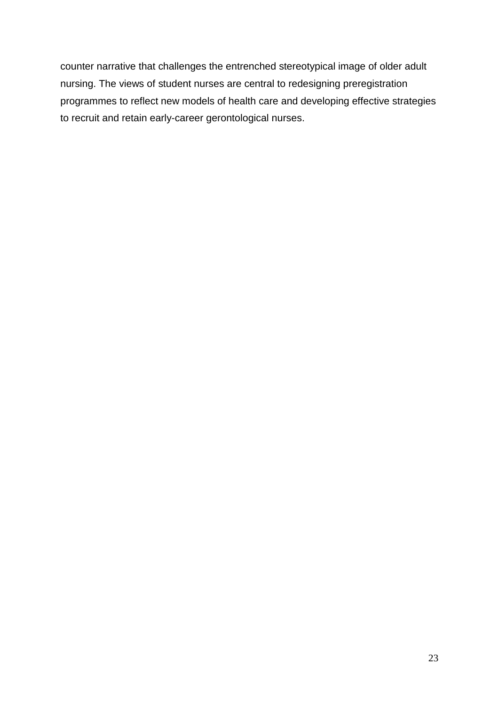counter narrative that challenges the entrenched stereotypical image of older adult nursing. The views of student nurses are central to redesigning preregistration programmes to reflect new models of health care and developing effective strategies to recruit and retain early-career gerontological nurses.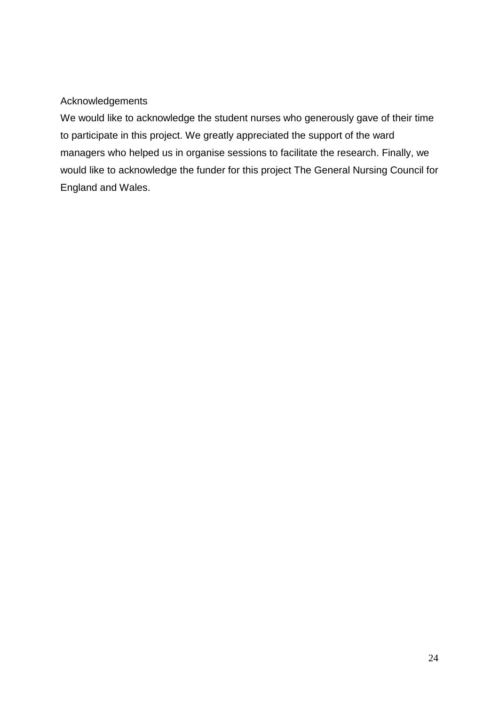# Acknowledgements

We would like to acknowledge the student nurses who generously gave of their time to participate in this project. We greatly appreciated the support of the ward managers who helped us in organise sessions to facilitate the research. Finally, we would like to acknowledge the funder for this project The General Nursing Council for England and Wales.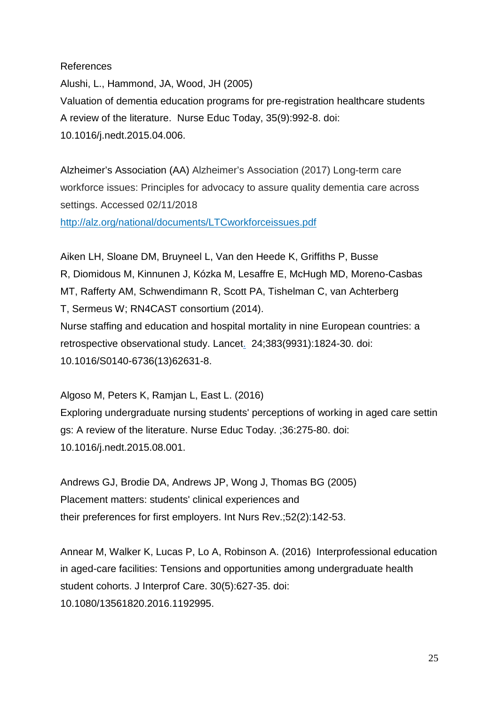References

Alushi, L., Hammond, JA, Wood, JH (2005) Valuation of dementia education programs for pre-registration healthcare students A review of the literature. Nurse Educ Today, 35(9):992-8. doi: 10.1016/j.nedt.2015.04.006.

Alzheimer's Association (AA) Alzheimer's Association (2017) Long-term care workforce issues: Principles for advocacy to assure quality dementia care across settings. Accessed 02/11/2018 <http://alz.org/national/documents/LTCworkforceissues.pdf>

[Aiken LH,](https://www.ncbi.nlm.nih.gov/pubmed/?term=Aiken%20LH%5BAuthor%5D&cauthor=true&cauthor_uid=24581683) [Sloane DM,](https://www.ncbi.nlm.nih.gov/pubmed/?term=Sloane%20DM%5BAuthor%5D&cauthor=true&cauthor_uid=24581683) [Bruyneel L,](https://www.ncbi.nlm.nih.gov/pubmed/?term=Bruyneel%20L%5BAuthor%5D&cauthor=true&cauthor_uid=24581683) [Van den Heede K,](https://www.ncbi.nlm.nih.gov/pubmed/?term=Van%20den%20Heede%20K%5BAuthor%5D&cauthor=true&cauthor_uid=24581683) [Griffiths P,](https://www.ncbi.nlm.nih.gov/pubmed/?term=Griffiths%20P%5BAuthor%5D&cauthor=true&cauthor_uid=24581683) [Busse](https://www.ncbi.nlm.nih.gov/pubmed/?term=Busse%20R%5BAuthor%5D&cauthor=true&cauthor_uid=24581683)  [R,](https://www.ncbi.nlm.nih.gov/pubmed/?term=Busse%20R%5BAuthor%5D&cauthor=true&cauthor_uid=24581683) [Diomidous M,](https://www.ncbi.nlm.nih.gov/pubmed/?term=Diomidous%20M%5BAuthor%5D&cauthor=true&cauthor_uid=24581683) [Kinnunen J,](https://www.ncbi.nlm.nih.gov/pubmed/?term=Kinnunen%20J%5BAuthor%5D&cauthor=true&cauthor_uid=24581683) [Kózka M,](https://www.ncbi.nlm.nih.gov/pubmed/?term=K%C3%B3zka%20M%5BAuthor%5D&cauthor=true&cauthor_uid=24581683) [Lesaffre E,](https://www.ncbi.nlm.nih.gov/pubmed/?term=Lesaffre%20E%5BAuthor%5D&cauthor=true&cauthor_uid=24581683) [McHugh MD,](https://www.ncbi.nlm.nih.gov/pubmed/?term=McHugh%20MD%5BAuthor%5D&cauthor=true&cauthor_uid=24581683) [Moreno-Casbas](https://www.ncbi.nlm.nih.gov/pubmed/?term=Moreno-Casbas%20MT%5BAuthor%5D&cauthor=true&cauthor_uid=24581683)  [MT,](https://www.ncbi.nlm.nih.gov/pubmed/?term=Moreno-Casbas%20MT%5BAuthor%5D&cauthor=true&cauthor_uid=24581683) [Rafferty AM,](https://www.ncbi.nlm.nih.gov/pubmed/?term=Rafferty%20AM%5BAuthor%5D&cauthor=true&cauthor_uid=24581683) [Schwendimann R,](https://www.ncbi.nlm.nih.gov/pubmed/?term=Schwendimann%20R%5BAuthor%5D&cauthor=true&cauthor_uid=24581683) [Scott PA,](https://www.ncbi.nlm.nih.gov/pubmed/?term=Scott%20PA%5BAuthor%5D&cauthor=true&cauthor_uid=24581683) [Tishelman C,](https://www.ncbi.nlm.nih.gov/pubmed/?term=Tishelman%20C%5BAuthor%5D&cauthor=true&cauthor_uid=24581683) [van Achterberg](https://www.ncbi.nlm.nih.gov/pubmed/?term=van%20Achterberg%20T%5BAuthor%5D&cauthor=true&cauthor_uid=24581683)  [T,](https://www.ncbi.nlm.nih.gov/pubmed/?term=van%20Achterberg%20T%5BAuthor%5D&cauthor=true&cauthor_uid=24581683) [Sermeus W;](https://www.ncbi.nlm.nih.gov/pubmed/?term=Sermeus%20W%5BAuthor%5D&cauthor=true&cauthor_uid=24581683) [RN4CAST consortium](https://www.ncbi.nlm.nih.gov/pubmed/?term=RN4CAST%20consortium%5BCorporate%20Author%5D) (2014). Nurse staffing and education and hospital mortality in nine European countries: a retrospective observational study. [Lancet.](https://www.ncbi.nlm.nih.gov/pubmed/24581683) 24;383(9931):1824-30. doi:

10.1016/S0140-6736(13)62631-8.

[Algoso M,](https://www.ncbi.nlm.nih.gov/pubmed/?term=Algoso%20M%5BAuthor%5D&cauthor=true&cauthor_uid=26296542) [Peters K,](https://www.ncbi.nlm.nih.gov/pubmed/?term=Peters%20K%5BAuthor%5D&cauthor=true&cauthor_uid=26296542) [Ramjan L,](https://www.ncbi.nlm.nih.gov/pubmed/?term=Ramjan%20L%5BAuthor%5D&cauthor=true&cauthor_uid=26296542) [East L.](https://www.ncbi.nlm.nih.gov/pubmed/?term=East%20L%5BAuthor%5D&cauthor=true&cauthor_uid=26296542) (2016) Exploring undergraduate nursing students' perceptions of working in aged care settin gs: A review of the literature. [Nurse Educ Today.](https://www.ncbi.nlm.nih.gov/pubmed/?term=Exploring+undergraduate+nursing+students%27+perceptions+of+working+in+aged+care+settings%3A+A+review+of+the+literature) ;36:275-80. doi: 10.1016/j.nedt.2015.08.001.

[Andrews GJ,](https://www.ncbi.nlm.nih.gov/pubmed/?term=Andrews%20GJ%5BAuthor%5D&cauthor=true&cauthor_uid=15842327) [Brodie DA,](https://www.ncbi.nlm.nih.gov/pubmed/?term=Brodie%20DA%5BAuthor%5D&cauthor=true&cauthor_uid=15842327) [Andrews JP,](https://www.ncbi.nlm.nih.gov/pubmed/?term=Andrews%20JP%5BAuthor%5D&cauthor=true&cauthor_uid=15842327) [Wong J,](https://www.ncbi.nlm.nih.gov/pubmed/?term=Wong%20J%5BAuthor%5D&cauthor=true&cauthor_uid=15842327) [Thomas BG](https://www.ncbi.nlm.nih.gov/pubmed/?term=Thomas%20BG%5BAuthor%5D&cauthor=true&cauthor_uid=15842327) (2005) Placement matters: students' clinical experiences and their preferences for first employers. Int Nurs Rev.;52(2):142-53.

[Annear M,](https://www.ncbi.nlm.nih.gov/pubmed/?term=Annear%20M%5BAuthor%5D&cauthor=true&cauthor_uid=27351682) [Walker K,](https://www.ncbi.nlm.nih.gov/pubmed/?term=Walker%20K%5BAuthor%5D&cauthor=true&cauthor_uid=27351682) [Lucas P,](https://www.ncbi.nlm.nih.gov/pubmed/?term=Lucas%20P%5BAuthor%5D&cauthor=true&cauthor_uid=27351682) [Lo A,](https://www.ncbi.nlm.nih.gov/pubmed/?term=Lo%20A%5BAuthor%5D&cauthor=true&cauthor_uid=27351682) [Robinson A.](https://www.ncbi.nlm.nih.gov/pubmed/?term=Robinson%20A%5BAuthor%5D&cauthor=true&cauthor_uid=27351682) (2016) Interprofessional education in aged-care facilities: Tensions and opportunities among undergraduate health student cohorts. [J Interprof Care.](https://www.ncbi.nlm.nih.gov/pubmed/27351682) 30(5):627-35. doi: 10.1080/13561820.2016.1192995.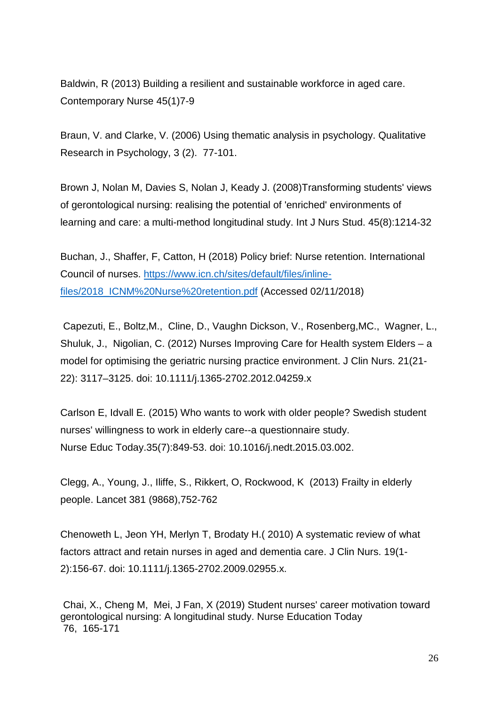Baldwin, R (2013) Building a resilient and sustainable workforce in aged care. Contemporary Nurse 45(1)7-9

Braun, V. and Clarke, V. (2006) Using thematic analysis in psychology. Qualitative Research in Psychology, 3 (2). 77-101.

[Brown J,](https://www.ncbi.nlm.nih.gov/pubmed/?term=Brown%20J%5BAuthor%5D&cauthor=true&cauthor_uid=17697678) [Nolan M,](https://www.ncbi.nlm.nih.gov/pubmed/?term=Nolan%20M%5BAuthor%5D&cauthor=true&cauthor_uid=17697678) [Davies S,](https://www.ncbi.nlm.nih.gov/pubmed/?term=Davies%20S%5BAuthor%5D&cauthor=true&cauthor_uid=17697678) [Nolan J,](https://www.ncbi.nlm.nih.gov/pubmed/?term=Nolan%20J%5BAuthor%5D&cauthor=true&cauthor_uid=17697678) [Keady J.](https://www.ncbi.nlm.nih.gov/pubmed/?term=Keady%20J%5BAuthor%5D&cauthor=true&cauthor_uid=17697678) (2008)Transforming students' views of gerontological nursing: realising the potential of 'enriched' environments of learning and care: a multi-method longitudinal study. [Int J Nurs Stud.](https://www.ncbi.nlm.nih.gov/pubmed/17697678) 45(8):1214-32

Buchan, J., Shaffer, F, Catton, H (2018) Policy brief: Nurse retention. International Council of nurses. [https://www.icn.ch/sites/default/files/inline](https://www.icn.ch/sites/default/files/inline-files/2018_ICNM%20Nurse%20retention.pdf)[files/2018\\_ICNM%20Nurse%20retention.pdf](https://www.icn.ch/sites/default/files/inline-files/2018_ICNM%20Nurse%20retention.pdf) (Accessed 02/11/2018)

[Capezuti,](https://www.ncbi.nlm.nih.gov/pubmed/?term=Capezuti%20E%5BAuthor%5D&cauthor=true&cauthor_uid=23083387) E., [Boltz,](https://www.ncbi.nlm.nih.gov/pubmed/?term=Boltz%20M%5BAuthor%5D&cauthor=true&cauthor_uid=23083387)M., [Cline,](https://www.ncbi.nlm.nih.gov/pubmed/?term=Cline%20D%5BAuthor%5D&cauthor=true&cauthor_uid=23083387) D., [Vaughn Dickson,](https://www.ncbi.nlm.nih.gov/pubmed/?term=Dickson%20VV%5BAuthor%5D&cauthor=true&cauthor_uid=23083387) V., [Rosenberg,](https://www.ncbi.nlm.nih.gov/pubmed/?term=Rosenberg%20MC%5BAuthor%5D&cauthor=true&cauthor_uid=23083387)MC., [Wagner,](https://www.ncbi.nlm.nih.gov/pubmed/?term=Wagner%20L%5BAuthor%5D&cauthor=true&cauthor_uid=23083387) [L.,](https://www.ncbi.nlm.nih.gov/pubmed/?term=Shuluk%20J%5BAuthor%5D&cauthor=true&cauthor_uid=23083387)  [Shuluk,](https://www.ncbi.nlm.nih.gov/pubmed/?term=Shuluk%20J%5BAuthor%5D&cauthor=true&cauthor_uid=23083387) J., [Nigolian,](https://www.ncbi.nlm.nih.gov/pubmed/?term=Nigolian%20C%5BAuthor%5D&cauthor=true&cauthor_uid=23083387) C. (2012) Nurses Improving Care for Health system Elders – a model for optimising the geriatric nursing practice environment. [J Clin Nurs.](https://www.ncbi.nlm.nih.gov/pmc/articles/PMC3532620/) 21(21- 22): 3117–3125. doi: [10.1111/j.1365-2702.2012.04259.x](https://dx.doi.org/10.1111%2Fj.1365-2702.2012.04259.x)

Carlson E, Idvall E. (2015) Who wants to work with older people? Swedish student nurses' willingness to work in elderly care--a questionnaire study. Nurse Educ Today.35(7):849-53. doi: 10.1016/j.nedt.2015.03.002.

Clegg, A., Young, J., Iliffe, S., Rikkert, O, Rockwood, K (2013) Frailty in elderly people. Lancet 381 (9868),752-762

[Chenoweth L,](https://www.ncbi.nlm.nih.gov/pubmed/?term=Chenoweth%20L%5BAuthor%5D&cauthor=true&cauthor_uid=20500254) [Jeon YH,](https://www.ncbi.nlm.nih.gov/pubmed/?term=Jeon%20YH%5BAuthor%5D&cauthor=true&cauthor_uid=20500254) [Merlyn T,](https://www.ncbi.nlm.nih.gov/pubmed/?term=Merlyn%20T%5BAuthor%5D&cauthor=true&cauthor_uid=20500254) [Brodaty H.](https://www.ncbi.nlm.nih.gov/pubmed/?term=Brodaty%20H%5BAuthor%5D&cauthor=true&cauthor_uid=20500254)( 2010) A systematic review of what factors attract and retain nurses in aged and dementia care. [J Clin Nurs.](https://www.ncbi.nlm.nih.gov/pubmed/20500254) 19(1- 2):156-67. doi: 10.1111/j.1365-2702.2009.02955.x.

[Chai, X., Cheng](https://www.sciencedirect.com/science/article/pii/S0260691719301807#!) M, [Mei, J Fan,](https://www.sciencedirect.com/science/article/pii/S0260691719301807#!) X (2019) Student nurses' career motivation toward gerontological nursing: A longitudinal study. [Nurse Education Today](https://www.sciencedirect.com/science/journal/02606917) [76,](https://www.sciencedirect.com/science/journal/02606917/76/supp/C) 165-171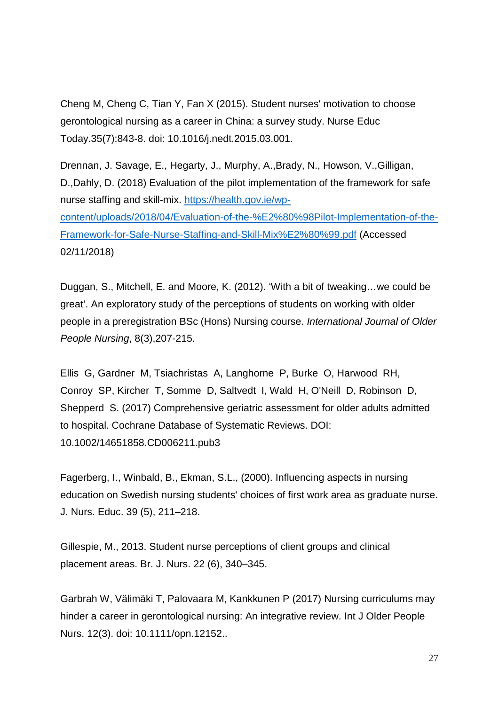[Cheng M,](https://www.ncbi.nlm.nih.gov/pubmed/?term=Cheng%20M%5BAuthor%5D&cauthor=true&cauthor_uid=25792382) [Cheng C,](https://www.ncbi.nlm.nih.gov/pubmed/?term=Cheng%20C%5BAuthor%5D&cauthor=true&cauthor_uid=25792382) [Tian Y,](https://www.ncbi.nlm.nih.gov/pubmed/?term=Tian%20Y%5BAuthor%5D&cauthor=true&cauthor_uid=25792382) [Fan X](https://www.ncbi.nlm.nih.gov/pubmed/?term=Fan%20X%5BAuthor%5D&cauthor=true&cauthor_uid=25792382) (2015). Student nurses' motivation to choose gerontological nursing as a career in China: a survey study. [Nurse Educ](https://www.ncbi.nlm.nih.gov/pubmed/25792382)  [Today.3](https://www.ncbi.nlm.nih.gov/pubmed/25792382)5(7):843-8. doi: 10.1016/j.nedt.2015.03.001.

Drennan, J. Savage, E., Hegarty, J., Murphy, A.,Brady, N., Howson, V.,Gilligan, D.,Dahly, D. (2018) Evaluation of the pilot implementation of the framework for safe nurse staffing and skill-mix. [https://health.gov.ie/wp](https://health.gov.ie/wp-content/uploads/2018/04/Evaluation-of-the-%E2%80%98Pilot-Implementation-of-the-Framework-for-Safe-Nurse-Staffing-and-Skill-Mix%E2%80%99.pdf)[content/uploads/2018/04/Evaluation-of-the-%E2%80%98Pilot-Implementation-of-the-](https://health.gov.ie/wp-content/uploads/2018/04/Evaluation-of-the-%E2%80%98Pilot-Implementation-of-the-Framework-for-Safe-Nurse-Staffing-and-Skill-Mix%E2%80%99.pdf)[Framework-for-Safe-Nurse-Staffing-and-Skill-Mix%E2%80%99.pdf](https://health.gov.ie/wp-content/uploads/2018/04/Evaluation-of-the-%E2%80%98Pilot-Implementation-of-the-Framework-for-Safe-Nurse-Staffing-and-Skill-Mix%E2%80%99.pdf) (Accessed 02/11/2018)

Duggan, S., Mitchell, E. and Moore, K. (2012). 'With a bit of tweaking…we could be great'. An exploratory study of the perceptions of students on working with older people in a preregistration BSc (Hons) Nursing course. *International Journal of Older People Nursing*, 8(3),207-215.

Ellis G, Gardner M, Tsiachristas A, Langhorne P, Burke O, Harwood RH, Conroy SP, Kircher T, Somme D, Saltvedt I, Wald H, O'Neill D, Robinson D, Shepperd S. (2017) Comprehensive geriatric assessment for older adults admitted to hospital. Cochrane Database of Systematic Reviews. DOI: 10.1002/14651858.CD006211.pub3

Fagerberg, I., Winbald, B., Ekman, S.L., (2000). Influencing aspects in nursing education on Swedish nursing students' choices of first work area as graduate nurse. J. Nurs. Educ. 39 (5), 211–218.

Gillespie, M., 2013. Student nurse perceptions of client groups and clinical placement areas. Br. J. Nurs. 22 (6), 340–345.

[Garbrah W,](https://www.ncbi.nlm.nih.gov/pubmed/?term=Garbrah%20W%5BAuthor%5D&cauthor=true&cauthor_uid=28397376) [Välimäki T,](https://www.ncbi.nlm.nih.gov/pubmed/?term=V%C3%A4lim%C3%A4ki%20T%5BAuthor%5D&cauthor=true&cauthor_uid=28397376) [Palovaara M,](https://www.ncbi.nlm.nih.gov/pubmed/?term=Palovaara%20M%5BAuthor%5D&cauthor=true&cauthor_uid=28397376) [Kankkunen P](https://www.ncbi.nlm.nih.gov/pubmed/?term=Kankkunen%20P%5BAuthor%5D&cauthor=true&cauthor_uid=28397376) (2017) Nursing curriculums may hinder a career in gerontological nursing: An integrative review. [Int J Older People](https://www.ncbi.nlm.nih.gov/pubmed/28397376)  [Nurs.](https://www.ncbi.nlm.nih.gov/pubmed/28397376) 12(3). doi: 10.1111/opn.12152..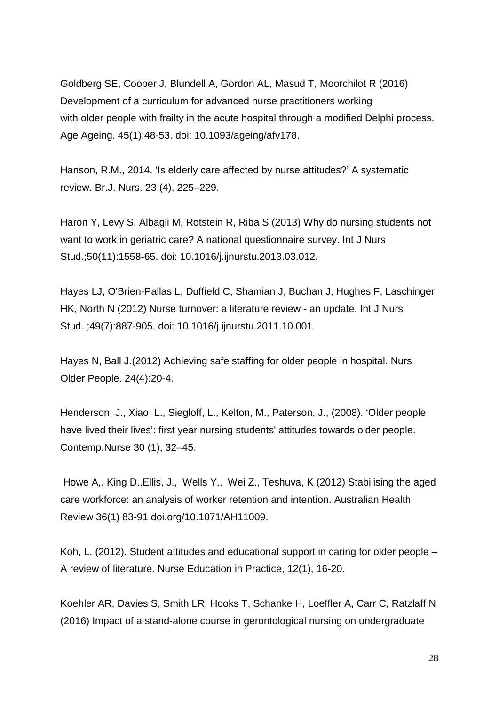[Goldberg](https://www.ncbi.nlm.nih.gov/pubmed/?term=Goldberg%20SE%5BAuthor%5D&cauthor=true&cauthor_uid=26764394) SE, [Cooper J,](https://www.ncbi.nlm.nih.gov/pubmed/?term=Cooper%20J%5BAuthor%5D&cauthor=true&cauthor_uid=26764394) [Blundell A,](https://www.ncbi.nlm.nih.gov/pubmed/?term=Blundell%20A%5BAuthor%5D&cauthor=true&cauthor_uid=26764394) [Gordon AL,](https://www.ncbi.nlm.nih.gov/pubmed/?term=Gordon%20AL%5BAuthor%5D&cauthor=true&cauthor_uid=26764394) [Masud T,](https://www.ncbi.nlm.nih.gov/pubmed/?term=Masud%20T%5BAuthor%5D&cauthor=true&cauthor_uid=26764394) [Moorchilot R](https://www.ncbi.nlm.nih.gov/pubmed/?term=Moorchilot%20R%5BAuthor%5D&cauthor=true&cauthor_uid=26764394) (2016) Development of a curriculum for advanced nurse practitioners working with older people with frailty in the acute hospital through a modified Delphi process. Age Ageing. 45(1):48-53. doi: 10.1093/ageing/afv178.

Hanson, R.M., 2014. 'Is elderly care affected by nurse attitudes?' A systematic review. Br.J. Nurs. 23 (4), 225–229.

[Haron Y,](https://www.ncbi.nlm.nih.gov/pubmed/?term=Haron%20Y%5BAuthor%5D&cauthor=true&cauthor_uid=23664143) [Levy S,](https://www.ncbi.nlm.nih.gov/pubmed/?term=Levy%20S%5BAuthor%5D&cauthor=true&cauthor_uid=23664143) [Albagli M,](https://www.ncbi.nlm.nih.gov/pubmed/?term=Albagli%20M%5BAuthor%5D&cauthor=true&cauthor_uid=23664143) [Rotstein R,](https://www.ncbi.nlm.nih.gov/pubmed/?term=Rotstein%20R%5BAuthor%5D&cauthor=true&cauthor_uid=23664143) [Riba S](https://www.ncbi.nlm.nih.gov/pubmed/?term=Riba%20S%5BAuthor%5D&cauthor=true&cauthor_uid=23664143) (2013) Why do nursing students not want to work in geriatric care? A national questionnaire survey. [Int J Nurs](https://www.ncbi.nlm.nih.gov/pubmed/23664143)  [Stud.;](https://www.ncbi.nlm.nih.gov/pubmed/23664143)50(11):1558-65. doi: 10.1016/j.ijnurstu.2013.03.012.

[Hayes LJ,](https://www.ncbi.nlm.nih.gov/pubmed/?term=Hayes%20LJ%5BAuthor%5D&cauthor=true&cauthor_uid=22019402) [O'Brien-Pallas L,](https://www.ncbi.nlm.nih.gov/pubmed/?term=O%27Brien-Pallas%20L%5BAuthor%5D&cauthor=true&cauthor_uid=22019402) [Duffield C,](https://www.ncbi.nlm.nih.gov/pubmed/?term=Duffield%20C%5BAuthor%5D&cauthor=true&cauthor_uid=22019402) [Shamian J,](https://www.ncbi.nlm.nih.gov/pubmed/?term=Shamian%20J%5BAuthor%5D&cauthor=true&cauthor_uid=22019402) [Buchan J,](https://www.ncbi.nlm.nih.gov/pubmed/?term=Buchan%20J%5BAuthor%5D&cauthor=true&cauthor_uid=22019402) [Hughes F,](https://www.ncbi.nlm.nih.gov/pubmed/?term=Hughes%20F%5BAuthor%5D&cauthor=true&cauthor_uid=22019402) [Laschinger](https://www.ncbi.nlm.nih.gov/pubmed/?term=Laschinger%20HK%5BAuthor%5D&cauthor=true&cauthor_uid=22019402)  [HK,](https://www.ncbi.nlm.nih.gov/pubmed/?term=Laschinger%20HK%5BAuthor%5D&cauthor=true&cauthor_uid=22019402) [North N](https://www.ncbi.nlm.nih.gov/pubmed/?term=North%20N%5BAuthor%5D&cauthor=true&cauthor_uid=22019402) (2012) Nurse turnover: a literature review - an update. Int J Nurs Stud. ;49(7):887-905. doi: 10.1016/j.ijnurstu.2011.10.001.

[Hayes N,](https://www.ncbi.nlm.nih.gov/pubmed/?term=Hayes%20N%5BAuthor%5D&cauthor=true&cauthor_uid=22708153) [Ball J.](https://www.ncbi.nlm.nih.gov/pubmed/?term=Ball%20J%5BAuthor%5D&cauthor=true&cauthor_uid=22708153)(2012) Achieving safe staffing for older people in hospital. [Nurs](https://www.ncbi.nlm.nih.gov/pubmed/22708153)  [Older People.](https://www.ncbi.nlm.nih.gov/pubmed/22708153) 24(4):20-4.

Henderson, J., Xiao, L., Siegloff, L., Kelton, M., Paterson, J., (2008). 'Older people have lived their lives': first year nursing students' attitudes towards older people. Contemp.Nurse 30 (1), 32–45.

Howe A,. King D.,Ellis, J., Wells Y., Wei Z., Teshuva, K (2012) Stabilising the aged care workforce: an analysis of worker retention and intention. Australian Health Review 36(1) 83-91 [doi.org/10.1071/AH11009.](https://doi.org/10.1071/AH11009)

Koh, L. (2012). Student attitudes and educational support in caring for older people – A review of literature. Nurse Education in Practice, 12(1), 16-20.

[Koehler AR,](https://www.ncbi.nlm.nih.gov/pubmed/?term=Koehler%20AR%5BAuthor%5D&cauthor=true&cauthor_uid=27475123) [Davies S,](https://www.ncbi.nlm.nih.gov/pubmed/?term=Davies%20S%5BAuthor%5D&cauthor=true&cauthor_uid=27475123) [Smith LR,](https://www.ncbi.nlm.nih.gov/pubmed/?term=Smith%20LR%5BAuthor%5D&cauthor=true&cauthor_uid=27475123) [Hooks T,](https://www.ncbi.nlm.nih.gov/pubmed/?term=Hooks%20T%5BAuthor%5D&cauthor=true&cauthor_uid=27475123) [Schanke H,](https://www.ncbi.nlm.nih.gov/pubmed/?term=Schanke%20H%5BAuthor%5D&cauthor=true&cauthor_uid=27475123) [Loeffler A,](https://www.ncbi.nlm.nih.gov/pubmed/?term=Loeffler%20A%5BAuthor%5D&cauthor=true&cauthor_uid=27475123) [Carr C,](https://www.ncbi.nlm.nih.gov/pubmed/?term=Carr%20C%5BAuthor%5D&cauthor=true&cauthor_uid=27475123) [Ratzlaff N](https://www.ncbi.nlm.nih.gov/pubmed/?term=Ratzlaff%20N%5BAuthor%5D&cauthor=true&cauthor_uid=27475123) (2016) Impact of a stand-alone course in gerontological nursing on undergraduate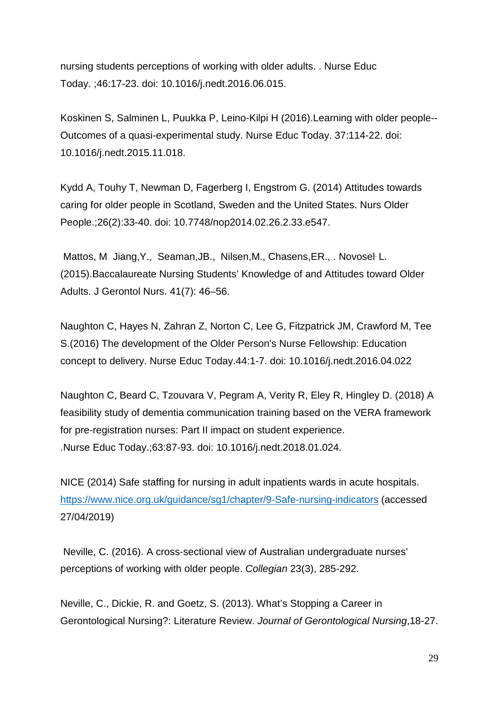nursing students perceptions of working with older adults. . [Nurse Educ](https://www.ncbi.nlm.nih.gov/pubmed/27475123)  [Today.](https://www.ncbi.nlm.nih.gov/pubmed/27475123) ;46:17-23. doi: 10.1016/j.nedt.2016.06.015.

[Koskinen S,](https://www.ncbi.nlm.nih.gov/pubmed/?term=Koskinen%20S%5BAuthor%5D&cauthor=true&cauthor_uid=26681270) [Salminen L,](https://www.ncbi.nlm.nih.gov/pubmed/?term=Salminen%20L%5BAuthor%5D&cauthor=true&cauthor_uid=26681270) [Puukka P,](https://www.ncbi.nlm.nih.gov/pubmed/?term=Puukka%20P%5BAuthor%5D&cauthor=true&cauthor_uid=26681270) [Leino-Kilpi H](https://www.ncbi.nlm.nih.gov/pubmed/?term=Leino-Kilpi%20H%5BAuthor%5D&cauthor=true&cauthor_uid=26681270) (2016).Learning with older people-- Outcomes of a quasi-experimental study. [Nurse Educ Today.](https://www.ncbi.nlm.nih.gov/pubmed/26681270) 37:114-22. doi: 10.1016/j.nedt.2015.11.018.

[Kydd A,](https://www.ncbi.nlm.nih.gov/pubmed/?term=Kydd%20A%5BAuthor%5D&cauthor=true&cauthor_uid=24576249) [Touhy T,](https://www.ncbi.nlm.nih.gov/pubmed/?term=Touhy%20T%5BAuthor%5D&cauthor=true&cauthor_uid=24576249) [Newman D,](https://www.ncbi.nlm.nih.gov/pubmed/?term=Newman%20D%5BAuthor%5D&cauthor=true&cauthor_uid=24576249) [Fagerberg I,](https://www.ncbi.nlm.nih.gov/pubmed/?term=Fagerberg%20I%5BAuthor%5D&cauthor=true&cauthor_uid=24576249) [Engstrom G.](https://www.ncbi.nlm.nih.gov/pubmed/?term=Engstrom%20G%5BAuthor%5D&cauthor=true&cauthor_uid=24576249) (2014) Attitudes towards caring for older people in Scotland, Sweden and the United States. [Nurs Older](https://www.ncbi.nlm.nih.gov/pubmed/24576249)  [People.;](https://www.ncbi.nlm.nih.gov/pubmed/24576249)26(2):33-40. doi: 10.7748/nop2014.02.26.2.33.e547.

[Mattos,](https://www.ncbi.nlm.nih.gov/pubmed/?term=Mattos%20M%5BAuthor%5D&cauthor=true&cauthor_uid=25941944) M [Jiang,](https://www.ncbi.nlm.nih.gov/pubmed/?term=Jiang%20Y%5BAuthor%5D&cauthor=true&cauthor_uid=25941944)Y., [Seaman,](https://www.ncbi.nlm.nih.gov/pubmed/?term=Seaman%20JB%5BAuthor%5D&cauthor=true&cauthor_uid=25941944)JB., [Nilsen,](https://www.ncbi.nlm.nih.gov/pubmed/?term=Nilsen%20M%5BAuthor%5D&cauthor=true&cauthor_uid=25941944)M., [Chasens,](https://www.ncbi.nlm.nih.gov/pubmed/?term=Chasens%20ER%5BAuthor%5D&cauthor=true&cauthor_uid=25941944)ER., [. Novosel.](https://www.ncbi.nlm.nih.gov/pubmed/?term=Novosel%20LM%5BAuthor%5D&cauthor=true&cauthor_uid=25941944) L. (2015).Baccalaureate Nursing Students' Knowledge of and Attitudes toward Older Adults. [J Gerontol Nurs. 41\(7\): 46–56.](https://www.ncbi.nlm.nih.gov/entrez/eutils/elink.fcgi?dbfrom=pubmed&retmode=ref&cmd=prlinks&id=25941944)

Naughton C, Hayes N, Zahran Z, Norton C, Lee G, Fitzpatrick JM, Crawford M, Tee S.(2016) The development of the Older Person's Nurse Fellowship: Education concept to delivery. Nurse Educ Today.44:1-7. doi: 10.1016/j.nedt.2016.04.022

Naughton C, Beard C, Tzouvara V, Pegram A, Verity R, Eley R, Hingley D. (2018) [A](https://www.ncbi.nlm.nih.gov/pubmed/29407267)  feasibility study of dementia communication [training based on the VERA framework](https://www.ncbi.nlm.nih.gov/pubmed/29407267)  [for pre-registration nurses: Part II impact on student experience.](https://www.ncbi.nlm.nih.gov/pubmed/29407267) .Nurse Educ Today.;63:87-93. doi: 10.1016/j.nedt.2018.01.024.

NICE (2014) Safe staffing for nursing in adult inpatients wards in acute hospitals. <https://www.nice.org.uk/guidance/sg1/chapter/9-Safe-nursing-indicators> (accessed 27/04/2019)

Neville, C. (2016). A cross-sectional view of Australian undergraduate nurses' perceptions of working with older people. *Collegian* 23(3), 285-292.

Neville, C., Dickie, R. and Goetz, S. (2013). What's Stopping a Career in Gerontological Nursing?: Literature Review. *Journal of Gerontological Nursing*,18-27.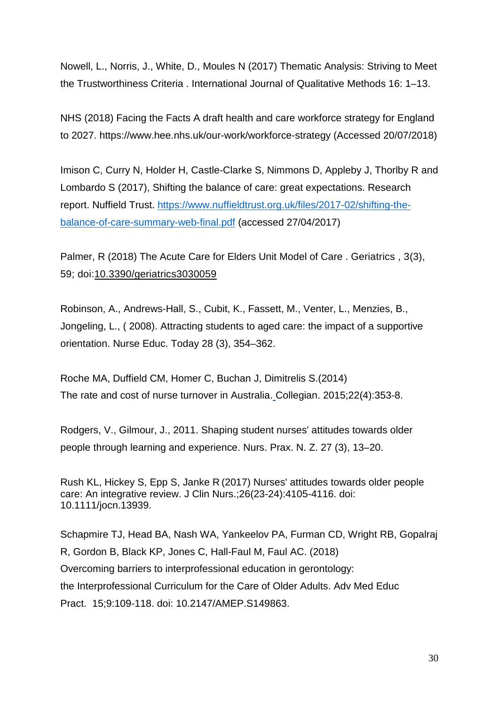Nowell, L., Norris, J., White, D., Moules N (2017) Thematic Analysis: Striving to Meet the Trustworthiness Criteria . International Journal of Qualitative Methods 16: 1–13.

NHS (2018) Facing the Facts A draft health and care workforce strategy for England to 2027. https://www.hee.nhs.uk/our-work/workforce-strategy (Accessed 20/07/2018)

Imison C, Curry N, Holder H, Castle-Clarke S, Nimmons D, Appleby J, Thorlby R and Lombardo S (2017), Shifting the balance of care: great expectations. Research report. Nuffield Trust. [https://www.nuffieldtrust.org.uk/files/2017-02/shifting-the](https://www.nuffieldtrust.org.uk/files/2017-02/shifting-the-balance-of-care-summary-web-final.pdf)[balance-of-care-summary-web-final.pdf](https://www.nuffieldtrust.org.uk/files/2017-02/shifting-the-balance-of-care-summary-web-final.pdf) (accessed 27/04/2017)

Palmer, R (2018) The Acute Care for Elders Unit Model of Care . Geriatrics , 3(3), 59; doi[:10.3390/geriatrics3030059](https://dx.doi.org/10.3390/geriatrics3030059)

Robinson, A., Andrews-Hall, S., Cubit, K., Fassett, M., Venter, L., Menzies, B., Jongeling, L., ( 2008). Attracting students to aged care: the impact of a supportive orientation. Nurse Educ. Today 28 (3), 354–362.

Roche MA, Duffield CM, Homer C, Buchan J, Dimitrelis S.(2014) The rate and cost of nurse turnover in Australia. Collegian. 2015;22(4):353-8.

Rodgers, V., Gilmour, J., 2011. Shaping student nurses' attitudes towards older people through learning and experience. Nurs. Prax. N. Z. 27 (3), 13–20.

[Rush KL,](https://www.ncbi.nlm.nih.gov/pubmed/?term=Rush%20KL%5BAuthor%5D&cauthor=true&cauthor_uid=28639384) [Hickey S,](https://www.ncbi.nlm.nih.gov/pubmed/?term=Hickey%20S%5BAuthor%5D&cauthor=true&cauthor_uid=28639384) [Epp S,](https://www.ncbi.nlm.nih.gov/pubmed/?term=Epp%20S%5BAuthor%5D&cauthor=true&cauthor_uid=28639384) [Janke R](https://www.ncbi.nlm.nih.gov/pubmed/?term=Janke%20R%5BAuthor%5D&cauthor=true&cauthor_uid=28639384) (2017) Nurses' attitudes towards older people care: An integrative review. [J Clin Nurs.;](https://www.ncbi.nlm.nih.gov/pubmed/28639384)26(23-24):4105-4116. doi: 10.1111/jocn.13939.

[Schapmire TJ,](https://www.ncbi.nlm.nih.gov/pubmed/?term=Schapmire%20TJ%5BAuthor%5D&cauthor=true&cauthor_uid=29497345) [Head BA,](https://www.ncbi.nlm.nih.gov/pubmed/?term=Head%20BA%5BAuthor%5D&cauthor=true&cauthor_uid=29497345) [Nash WA,](https://www.ncbi.nlm.nih.gov/pubmed/?term=Nash%20WA%5BAuthor%5D&cauthor=true&cauthor_uid=29497345) [Yankeelov PA,](https://www.ncbi.nlm.nih.gov/pubmed/?term=Yankeelov%20PA%5BAuthor%5D&cauthor=true&cauthor_uid=29497345) [Furman CD,](https://www.ncbi.nlm.nih.gov/pubmed/?term=Furman%20CD%5BAuthor%5D&cauthor=true&cauthor_uid=29497345) [Wright RB,](https://www.ncbi.nlm.nih.gov/pubmed/?term=Wright%20RB%5BAuthor%5D&cauthor=true&cauthor_uid=29497345) [Gopalraj](https://www.ncbi.nlm.nih.gov/pubmed/?term=Gopalraj%20R%5BAuthor%5D&cauthor=true&cauthor_uid=29497345)  [R,](https://www.ncbi.nlm.nih.gov/pubmed/?term=Gopalraj%20R%5BAuthor%5D&cauthor=true&cauthor_uid=29497345) [Gordon B,](https://www.ncbi.nlm.nih.gov/pubmed/?term=Gordon%20B%5BAuthor%5D&cauthor=true&cauthor_uid=29497345) [Black KP,](https://www.ncbi.nlm.nih.gov/pubmed/?term=Black%20KP%5BAuthor%5D&cauthor=true&cauthor_uid=29497345) [Jones C,](https://www.ncbi.nlm.nih.gov/pubmed/?term=Jones%20C%5BAuthor%5D&cauthor=true&cauthor_uid=29497345) [Hall-Faul M,](https://www.ncbi.nlm.nih.gov/pubmed/?term=Hall-Faul%20M%5BAuthor%5D&cauthor=true&cauthor_uid=29497345) [Faul AC.](https://www.ncbi.nlm.nih.gov/pubmed/?term=Faul%20AC%5BAuthor%5D&cauthor=true&cauthor_uid=29497345) (2018) Overcoming barriers to interprofessional education in gerontology: the Interprofessional Curriculum for the Care of Older Adults. [Adv Med Educ](https://www.ncbi.nlm.nih.gov/pubmed/?term=Overcoming+barriers+to+interprofessional+education+in+gerontology+the+Interprofessional+Curriculum+for+the+Care+of+Older+Adults)  [Pract.](https://www.ncbi.nlm.nih.gov/pubmed/?term=Overcoming+barriers+to+interprofessional+education+in+gerontology+the+Interprofessional+Curriculum+for+the+Care+of+Older+Adults) 15;9:109-118. doi: 10.2147/AMEP.S149863.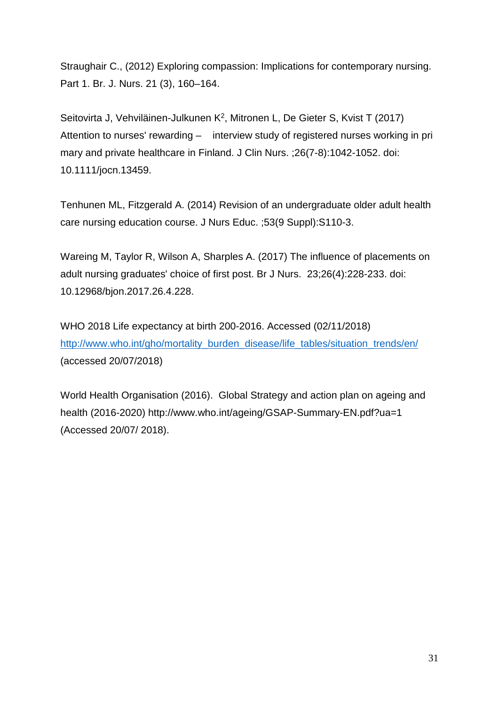Straughair C., (2012) Exploring compassion: Implications for contemporary nursing. Part 1. Br. J. Nurs. 21 (3), 160–164.

[Seitovirta J,](https://www.ncbi.nlm.nih.gov/pubmed/?term=Seitovirta%20J%5BAuthor%5D&cauthor=true&cauthor_uid=27346394) Vehviläinen-Julkunen K<sup>2</sup>, [Mitronen L,](https://www.ncbi.nlm.nih.gov/pubmed/?term=Mitronen%20L%5BAuthor%5D&cauthor=true&cauthor_uid=27346394) [De Gieter S,](https://www.ncbi.nlm.nih.gov/pubmed/?term=De%20Gieter%20S%5BAuthor%5D&cauthor=true&cauthor_uid=27346394) [Kvist T](https://www.ncbi.nlm.nih.gov/pubmed/?term=Kvist%20T%5BAuthor%5D&cauthor=true&cauthor_uid=27346394) (2017) Attention to nurses' rewarding – interview study of registered nurses working in pri mary and private healthcare in Finland. [J Clin Nurs.](https://www.ncbi.nlm.nih.gov/pubmed/?term=Attention+to+nurses%E2%80%99+rewarding+%E2%80%93+an+interview+study+of+registered+nurses+working+in+primary+and+private+healthcare+in+Finland) ;26(7-8):1042-1052. doi: 10.1111/jocn.13459.

[Tenhunen ML,](https://www.ncbi.nlm.nih.gov/pubmed/?term=Tenhunen%20ML%5BAuthor%5D&cauthor=true&cauthor_uid=25081329) [Fitzgerald A.](https://www.ncbi.nlm.nih.gov/pubmed/?term=Fitzgerald%20A%5BAuthor%5D&cauthor=true&cauthor_uid=25081329) (2014) Revision of an undergraduate older adult health care nursing education course. [J Nurs Educ.](https://www.ncbi.nlm.nih.gov/pubmed/25081329) ;53(9 Suppl):S110-3.

[Wareing](https://www.ncbi.nlm.nih.gov/pubmed/?term=Wareing%20M%5BAuthor%5D&cauthor=true&cauthor_uid=28230438) M, [Taylor R,](https://www.ncbi.nlm.nih.gov/pubmed/?term=Taylor%20R%5BAuthor%5D&cauthor=true&cauthor_uid=28230438) [Wilson A,](https://www.ncbi.nlm.nih.gov/pubmed/?term=Wilson%20A%5BAuthor%5D&cauthor=true&cauthor_uid=28230438) [Sharples A.](https://www.ncbi.nlm.nih.gov/pubmed/?term=Sharples%20A%5BAuthor%5D&cauthor=true&cauthor_uid=28230438) (2017) The influence of placements on adult nursing graduates' choice of first post. [Br J Nurs.](https://www.ncbi.nlm.nih.gov/pubmed/28230438) 23;26(4):228-233. doi: 10.12968/bjon.2017.26.4.228.

WHO 2018 Life expectancy at birth 200-2016. Accessed (02/11/2018) [http://www.who.int/gho/mortality\\_burden\\_disease/life\\_tables/situation\\_trends/en/](http://www.who.int/gho/mortality_burden_disease/life_tables/situation_trends/en/) (accessed 20/07/2018)

World Health Organisation (2016). Global Strategy and action plan on ageing and health (2016-2020) http://www.who.int/ageing/GSAP-Summary-EN.pdf?ua=1 (Accessed 20/07/ 2018).